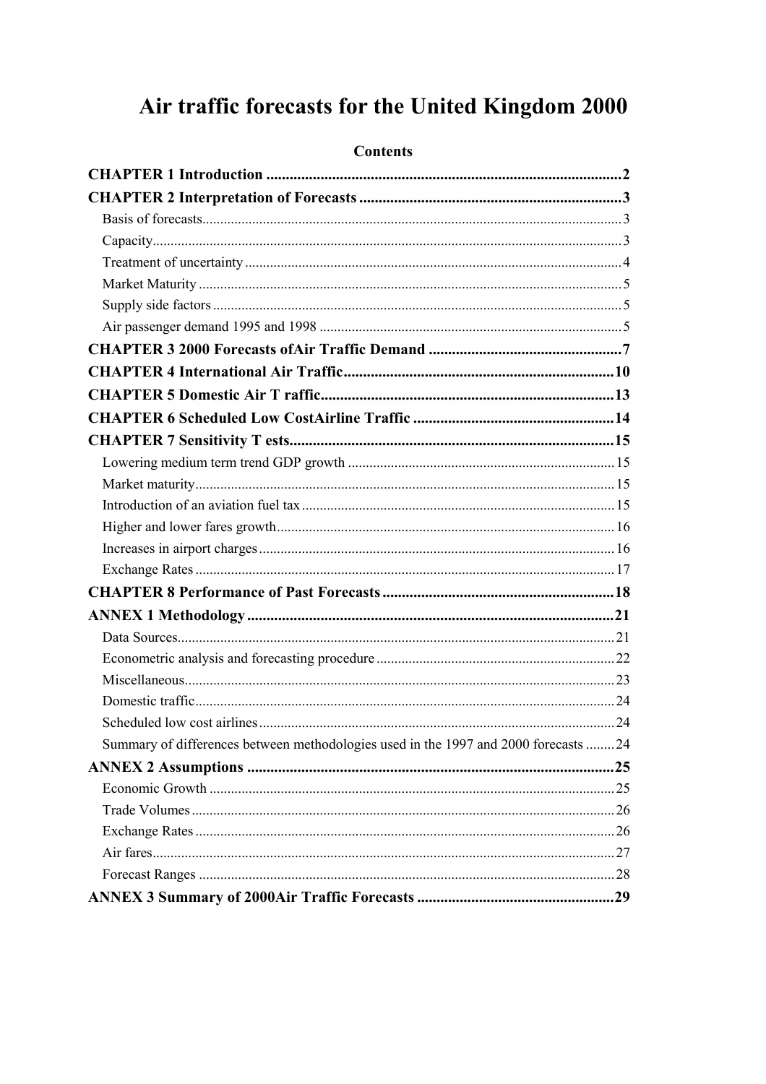## Air traffic forecasts for the United Kingdom 2000

| Summary of differences between methodologies used in the 1997 and 2000 forecasts 24 |  |
|-------------------------------------------------------------------------------------|--|
|                                                                                     |  |
|                                                                                     |  |
|                                                                                     |  |
|                                                                                     |  |
|                                                                                     |  |
|                                                                                     |  |
|                                                                                     |  |

#### **Contents**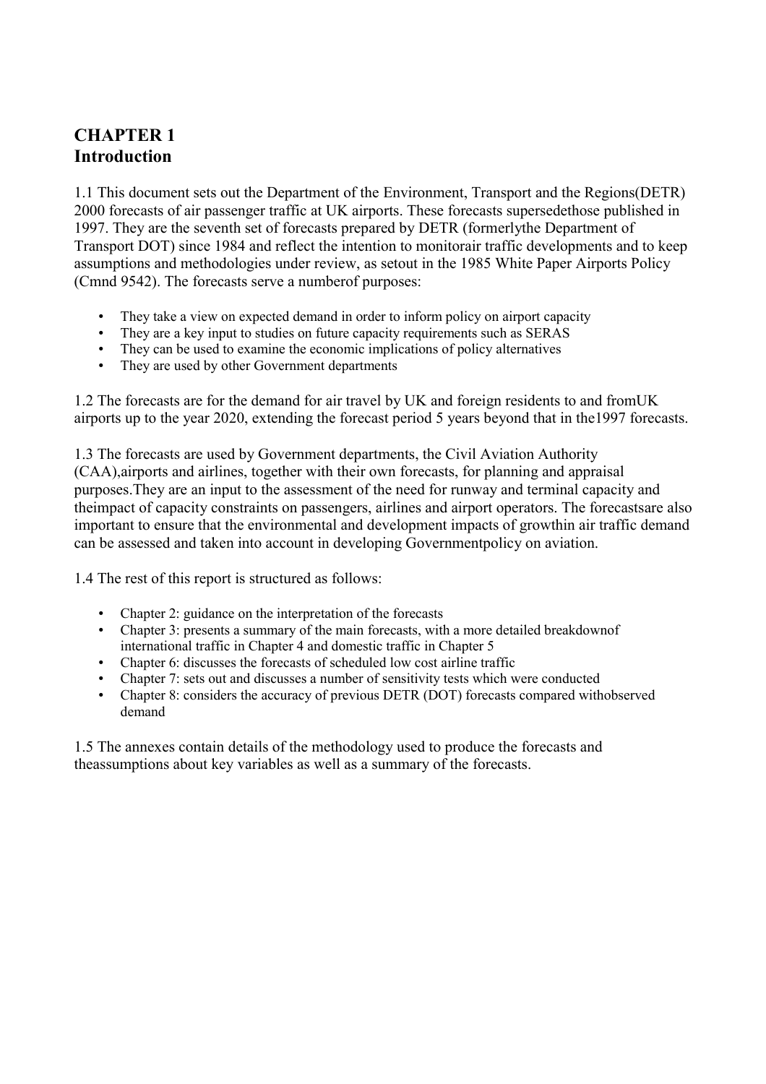## <span id="page-1-0"></span>**CHAPTER 1 Introduction**

1.1 This document sets out the Department of the Environment, Transport and the Regions(DETR) 2000 forecasts of air passenger traffic at UK airports. These forecasts supersedethose published in 1997. They are the seventh set of forecasts prepared by DETR (formerlythe Department of Transport DOT) since 1984 and reflect the intention to monitorair traffic developments and to keep assumptions and methodologies under review, as setout in the 1985 White Paper Airports Policy (Cmnd 9542). The forecasts serve a numberof purposes:

- They take a view on expected demand in order to inform policy on airport capacity
- They are a key input to studies on future capacity requirements such as SERAS
- They can be used to examine the economic implications of policy alternatives
- They are used by other Government departments

1.2 The forecasts are for the demand for air travel by UK and foreign residents to and fromUK airports up to the year 2020, extending the forecast period 5 years beyond that in the1997 forecasts.

1.3 The forecasts are used by Government departments, the Civil Aviation Authority (CAA),airports and airlines, together with their own forecasts, for planning and appraisal purposes.They are an input to the assessment of the need for runway and terminal capacity and theimpact of capacity constraints on passengers, airlines and airport operators. The forecastsare also important to ensure that the environmental and development impacts of growthin air traffic demand can be assessed and taken into account in developing Governmentpolicy on aviation.

1.4 The rest of this report is structured as follows:

- Chapter 2: guidance on the interpretation of the forecasts
- Chapter 3: presents a summary of the main forecasts, with a more detailed breakdownof international traffic in Chapter 4 and domestic traffic in Chapter 5
- Chapter 6: discusses the forecasts of scheduled low cost airline traffic
- Chapter 7: sets out and discusses a number of sensitivity tests which were conducted
- Chapter 8: considers the accuracy of previous DETR (DOT) forecasts compared withobserved demand

1.5 The annexes contain details of the methodology used to produce the forecasts and theassumptions about key variables as well as a summary of the forecasts.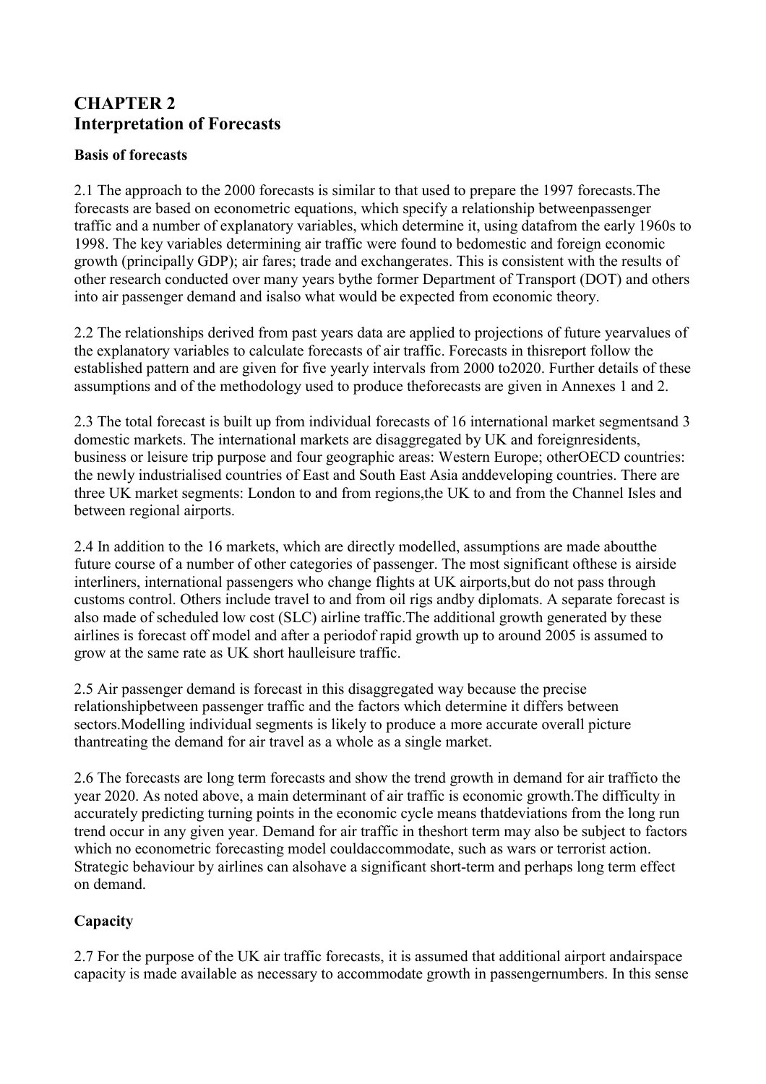## <span id="page-2-0"></span>**CHAPTER 2 Interpretation of Forecasts**

#### **Basis of forecasts**

2.1 The approach to the 2000 forecasts is similar to that used to prepare the 1997 forecasts.The forecasts are based on econometric equations, which specify a relationship betweenpassenger traffic and a number of explanatory variables, which determine it, using datafrom the early 1960s to 1998. The key variables determining air traffic were found to bedomestic and foreign economic growth (principally GDP); air fares; trade and exchangerates. This is consistent with the results of other research conducted over many years bythe former Department of Transport (DOT) and others into air passenger demand and isalso what would be expected from economic theory.

2.2 The relationships derived from past years data are applied to projections of future yearvalues of the explanatory variables to calculate forecasts of air traffic. Forecasts in thisreport follow the established pattern and are given for five yearly intervals from 2000 to2020. Further details of these assumptions and of the methodology used to produce theforecasts are given in Annexes 1 and 2.

2.3 The total forecast is built up from individual forecasts of 16 international market segmentsand 3 domestic markets. The international markets are disaggregated by UK and foreignresidents, business or leisure trip purpose and four geographic areas: Western Europe; otherOECD countries: the newly industrialised countries of East and South East Asia anddeveloping countries. There are three UK market segments: London to and from regions,the UK to and from the Channel Isles and between regional airports.

2.4 In addition to the 16 markets, which are directly modelled, assumptions are made aboutthe future course of a number of other categories of passenger. The most significant ofthese is airside interliners, international passengers who change flights at UK airports,but do not pass through customs control. Others include travel to and from oil rigs andby diplomats. A separate forecast is also made of scheduled low cost (SLC) airline traffic.The additional growth generated by these airlines is forecast off model and after a periodof rapid growth up to around 2005 is assumed to grow at the same rate as UK short haulleisure traffic.

2.5 Air passenger demand is forecast in this disaggregated way because the precise relationshipbetween passenger traffic and the factors which determine it differs between sectors.Modelling individual segments is likely to produce a more accurate overall picture thantreating the demand for air travel as a whole as a single market.

2.6 The forecasts are long term forecasts and show the trend growth in demand for air trafficto the year 2020. As noted above, a main determinant of air traffic is economic growth.The difficulty in accurately predicting turning points in the economic cycle means thatdeviations from the long run trend occur in any given year. Demand for air traffic in theshort term may also be subject to factors which no econometric forecasting model couldaccommodate, such as wars or terrorist action. Strategic behaviour by airlines can alsohave a significant short-term and perhaps long term effect on demand.

### **Capacity**

2.7 For the purpose of the UK air traffic forecasts, it is assumed that additional airport andairspace capacity is made available as necessary to accommodate growth in passengernumbers. In this sense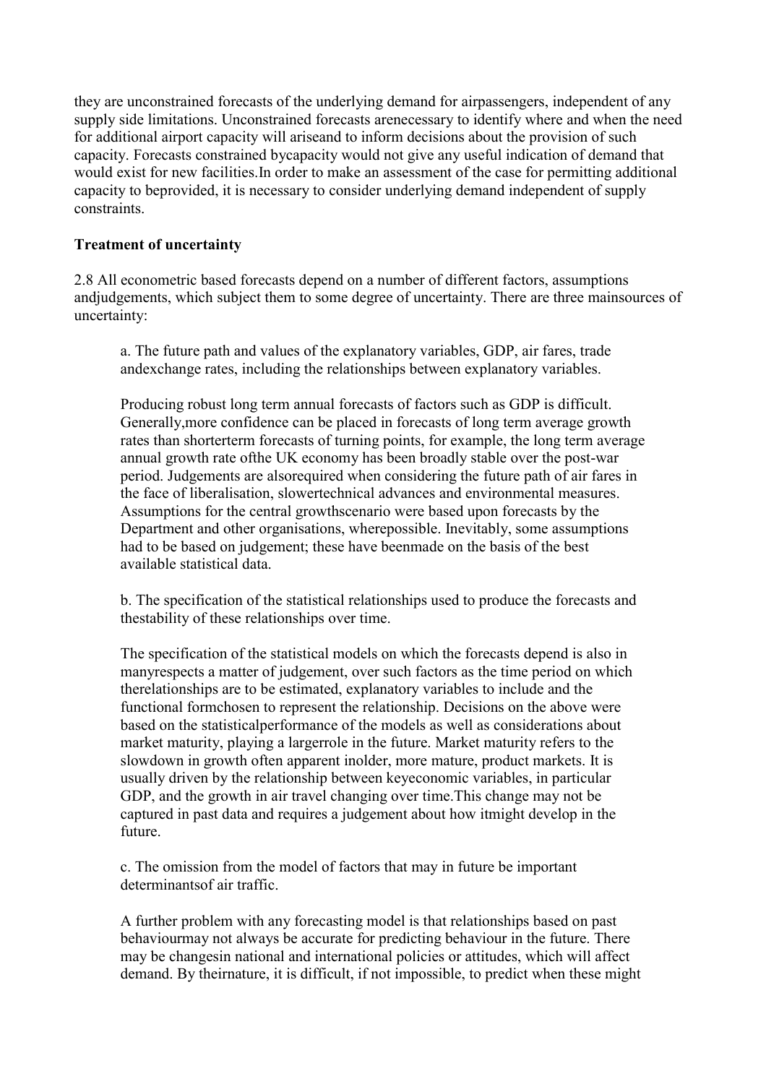<span id="page-3-0"></span>they are unconstrained forecasts of the underlying demand for airpassengers, independent of any supply side limitations. Unconstrained forecasts arenecessary to identify where and when the need for additional airport capacity will ariseand to inform decisions about the provision of such capacity. Forecasts constrained bycapacity would not give any useful indication of demand that would exist for new facilities.In order to make an assessment of the case for permitting additional capacity to beprovided, it is necessary to consider underlying demand independent of supply constraints.

#### **Treatment of uncertainty**

2.8 All econometric based forecasts depend on a number of different factors, assumptions andjudgements, which subject them to some degree of uncertainty. There are three mainsources of uncertainty:

a. The future path and values of the explanatory variables, GDP, air fares, trade andexchange rates, including the relationships between explanatory variables.

Producing robust long term annual forecasts of factors such as GDP is difficult. Generally,more confidence can be placed in forecasts of long term average growth rates than shorterterm forecasts of turning points, for example, the long term average annual growth rate ofthe UK economy has been broadly stable over the post-war period. Judgements are alsorequired when considering the future path of air fares in the face of liberalisation, slowertechnical advances and environmental measures. Assumptions for the central growthscenario were based upon forecasts by the Department and other organisations, wherepossible. Inevitably, some assumptions had to be based on judgement; these have beenmade on the basis of the best available statistical data.

b. The specification of the statistical relationships used to produce the forecasts and thestability of these relationships over time.

The specification of the statistical models on which the forecasts depend is also in manyrespects a matter of judgement, over such factors as the time period on which therelationships are to be estimated, explanatory variables to include and the functional formchosen to represent the relationship. Decisions on the above were based on the statisticalperformance of the models as well as considerations about market maturity, playing a largerrole in the future. Market maturity refers to the slowdown in growth often apparent inolder, more mature, product markets. It is usually driven by the relationship between keyeconomic variables, in particular GDP, and the growth in air travel changing over time.This change may not be captured in past data and requires a judgement about how itmight develop in the future.

c. The omission from the model of factors that may in future be important determinantsof air traffic.

A further problem with any forecasting model is that relationships based on past behaviourmay not always be accurate for predicting behaviour in the future. There may be changesin national and international policies or attitudes, which will affect demand. By theirnature, it is difficult, if not impossible, to predict when these might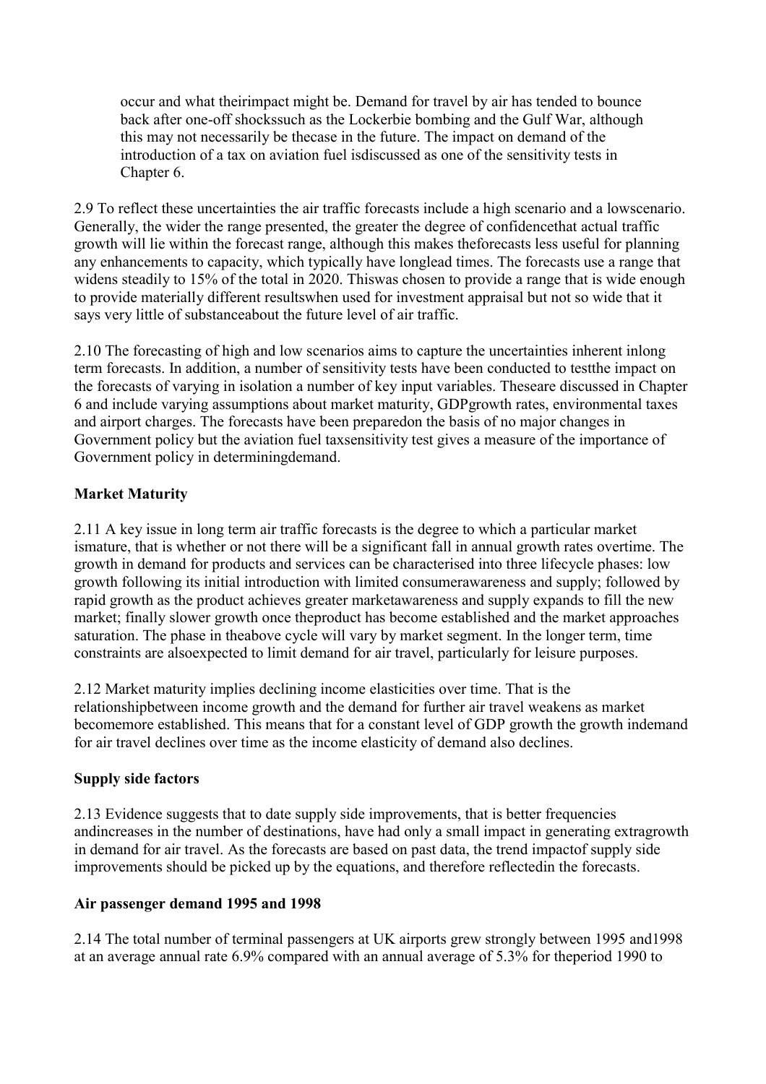<span id="page-4-0"></span>occur and what theirimpact might be. Demand for travel by air has tended to bounce back after one-off shockssuch as the Lockerbie bombing and the Gulf War, although this may not necessarily be thecase in the future. The impact on demand of the introduction of a tax on aviation fuel isdiscussed as one of the sensitivity tests in Chapter 6.

2.9 To reflect these uncertainties the air traffic forecasts include a high scenario and a lowscenario. Generally, the wider the range presented, the greater the degree of confidencethat actual traffic growth will lie within the forecast range, although this makes theforecasts less useful for planning any enhancements to capacity, which typically have longlead times. The forecasts use a range that widens steadily to 15% of the total in 2020. Thiswas chosen to provide a range that is wide enough to provide materially different resultswhen used for investment appraisal but not so wide that it says very little of substanceabout the future level of air traffic.

2.10 The forecasting of high and low scenarios aims to capture the uncertainties inherent inlong term forecasts. In addition, a number of sensitivity tests have been conducted to testthe impact on the forecasts of varying in isolation a number of key input variables. Theseare discussed in Chapter 6 and include varying assumptions about market maturity, GDPgrowth rates, environmental taxes and airport charges. The forecasts have been preparedon the basis of no major changes in Government policy but the aviation fuel taxsensitivity test gives a measure of the importance of Government policy in determiningdemand.

#### **Market Maturity**

2.11 A key issue in long term air traffic forecasts is the degree to which a particular market ismature, that is whether or not there will be a significant fall in annual growth rates overtime. The growth in demand for products and services can be characterised into three lifecycle phases: low growth following its initial introduction with limited consumerawareness and supply; followed by rapid growth as the product achieves greater marketawareness and supply expands to fill the new market; finally slower growth once theproduct has become established and the market approaches saturation. The phase in theabove cycle will vary by market segment. In the longer term, time constraints are alsoexpected to limit demand for air travel, particularly for leisure purposes.

2.12 Market maturity implies declining income elasticities over time. That is the relationshipbetween income growth and the demand for further air travel weakens as market becomemore established. This means that for a constant level of GDP growth the growth indemand for air travel declines over time as the income elasticity of demand also declines.

#### **Supply side factors**

2.13 Evidence suggests that to date supply side improvements, that is better frequencies andincreases in the number of destinations, have had only a small impact in generating extragrowth in demand for air travel. As the forecasts are based on past data, the trend impactof supply side improvements should be picked up by the equations, and therefore reflectedin the forecasts.

#### **Air passenger demand 1995 and 1998**

2.14 The total number of terminal passengers at UK airports grew strongly between 1995 and1998 at an average annual rate 6.9% compared with an annual average of 5.3% for theperiod 1990 to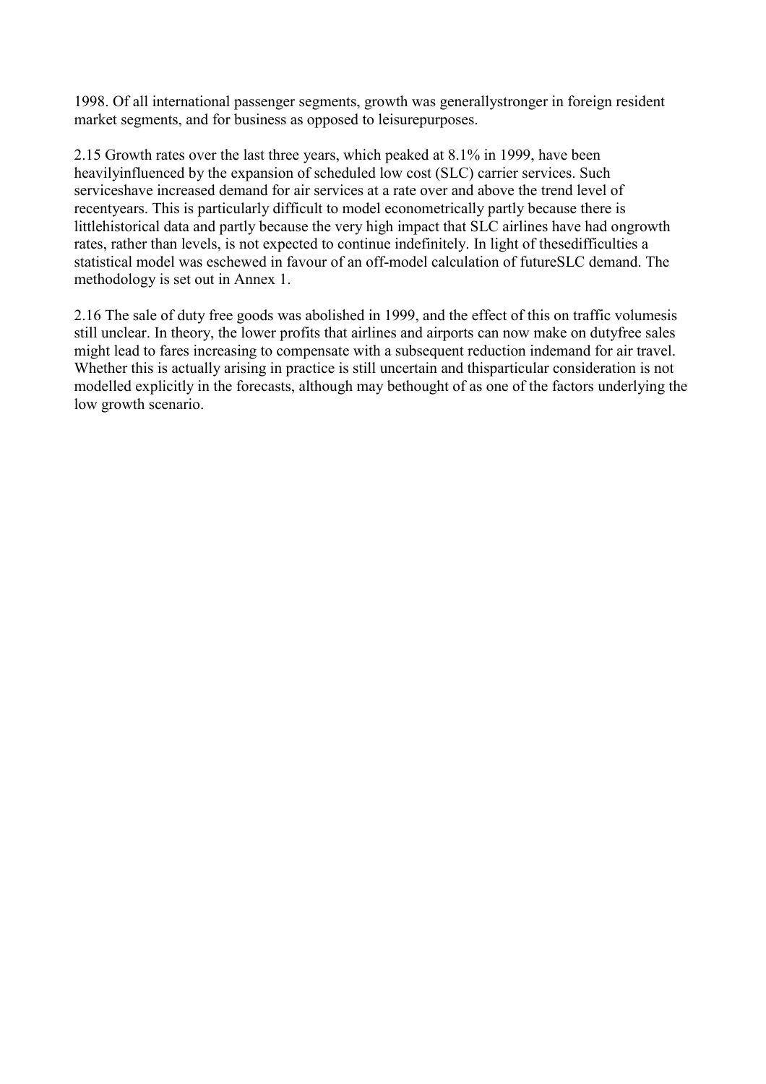1998. Of all international passenger segments, growth was generallystronger in foreign resident market segments, and for business as opposed to leisurepurposes.

2.15 Growth rates over the last three years, which peaked at 8.1% in 1999, have been heavilyinfluenced by the expansion of scheduled low cost (SLC) carrier services. Such serviceshave increased demand for air services at a rate over and above the trend level of recentyears. This is particularly difficult to model econometrically partly because there is littlehistorical data and partly because the very high impact that SLC airlines have had ongrowth rates, rather than levels, is not expected to continue indefinitely. In light of thesedifficulties a statistical model was eschewed in favour of an off-model calculation of futureSLC demand. The methodology is set out in Annex 1.

2.16 The sale of duty free goods was abolished in 1999, and the effect of this on traffic volumesis still unclear. In theory, the lower profits that airlines and airports can now make on dutyfree sales might lead to fares increasing to compensate with a subsequent reduction indemand for air travel. Whether this is actually arising in practice is still uncertain and thisparticular consideration is not modelled explicitly in the forecasts, although may bethought of as one of the factors underlying the low growth scenario.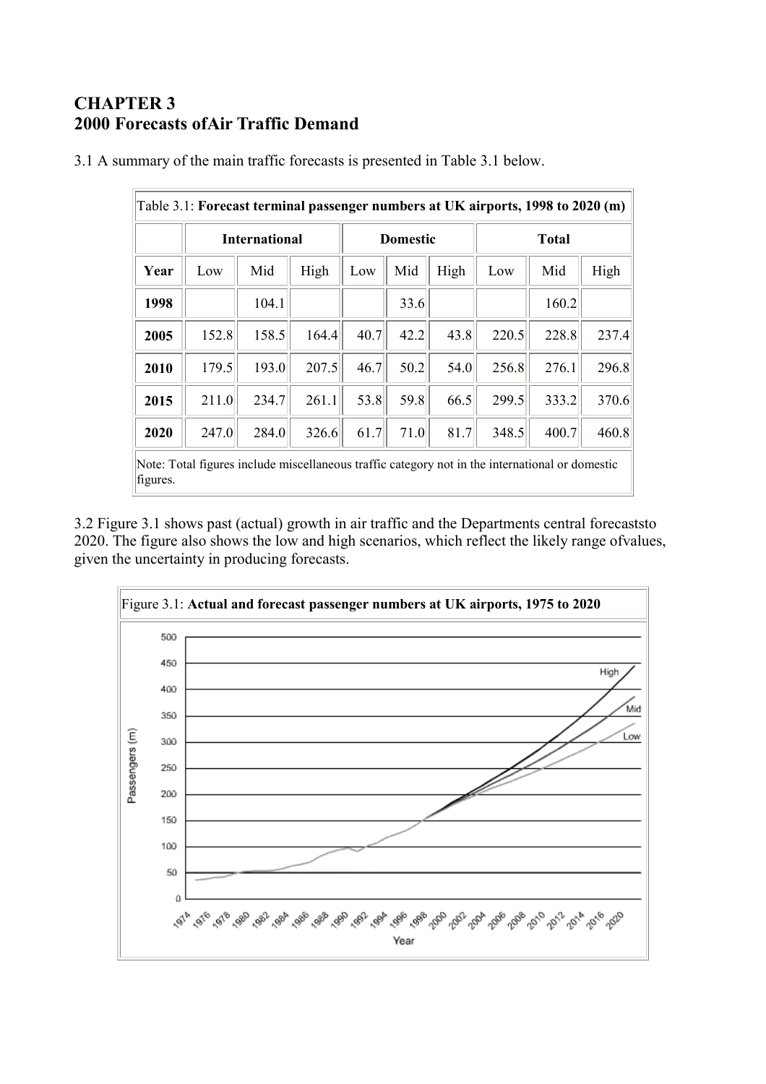## <span id="page-6-0"></span>**CHAPTER 3 2000 Forecasts ofAir Traffic Demand**

|          | Table 3.1: Forecast terminal passenger numbers at UK airports, 1998 to 2020 (m)                 |       |       |                 |      |      |              |       |       |  |  |  |
|----------|-------------------------------------------------------------------------------------------------|-------|-------|-----------------|------|------|--------------|-------|-------|--|--|--|
|          | <b>International</b>                                                                            |       |       | <b>Domestic</b> |      |      | <b>Total</b> |       |       |  |  |  |
| Year     | Low                                                                                             | Mid   | High  | Low             | Mid  | High | Low          | Mid   | High  |  |  |  |
| 1998     |                                                                                                 | 104.1 |       |                 | 33.6 |      |              | 160.2 |       |  |  |  |
| 2005     | 152.8                                                                                           | 158.5 | 164.4 | 40.7            | 42.2 | 43.8 | 220.5        | 228.8 | 237.4 |  |  |  |
| 2010     | 179.5                                                                                           | 193.0 | 207.5 | 46.7            | 50.2 | 54.0 | 256.8        | 276.1 | 296.8 |  |  |  |
| 2015     | 211.0                                                                                           | 234.7 | 261.1 | 53.8            | 59.8 | 66.5 | 299.5        | 333.2 | 370.6 |  |  |  |
| 2020     | 247.0                                                                                           | 284.0 | 326.6 | 61.7            | 71.0 | 81.7 | 348.5        | 400.7 | 460.8 |  |  |  |
| figures. | Note: Total figures include miscellaneous traffic category not in the international or domestic |       |       |                 |      |      |              |       |       |  |  |  |

3.1 A summary of the main traffic forecasts is presented in Table 3.1 below.

3.2 Figure 3.1 shows past (actual) growth in air traffic and the Departments central forecaststo 2020. The figure also shows the low and high scenarios, which reflect the likely range ofvalues, given the uncertainty in producing forecasts.

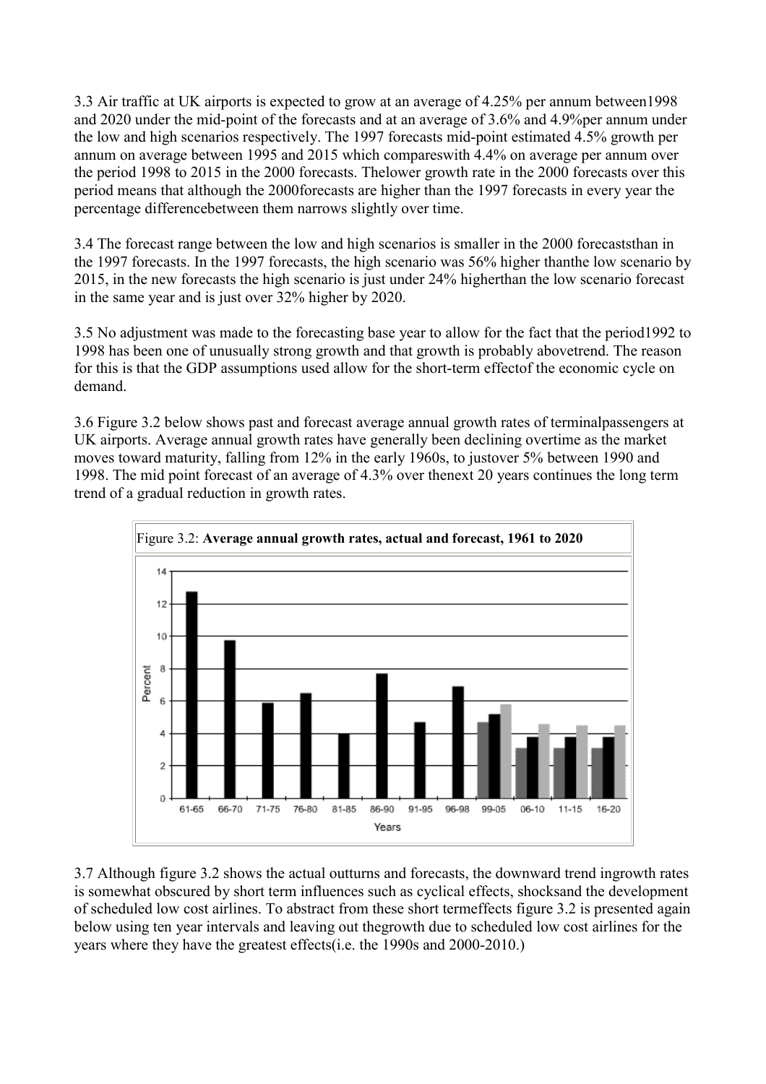3.3 Air traffic at UK airports is expected to grow at an average of 4.25% per annum between1998 and 2020 under the mid-point of the forecasts and at an average of 3.6% and 4.9%per annum under the low and high scenarios respectively. The 1997 forecasts mid-point estimated 4.5% growth per annum on average between 1995 and 2015 which compareswith 4.4% on average per annum over the period 1998 to 2015 in the 2000 forecasts. Thelower growth rate in the 2000 forecasts over this period means that although the 2000forecasts are higher than the 1997 forecasts in every year the percentage differencebetween them narrows slightly over time.

3.4 The forecast range between the low and high scenarios is smaller in the 2000 forecaststhan in the 1997 forecasts. In the 1997 forecasts, the high scenario was 56% higher thanthe low scenario by 2015, in the new forecasts the high scenario is just under 24% higherthan the low scenario forecast in the same year and is just over 32% higher by 2020.

3.5 No adjustment was made to the forecasting base year to allow for the fact that the period1992 to 1998 has been one of unusually strong growth and that growth is probably abovetrend. The reason for this is that the GDP assumptions used allow for the short-term effectof the economic cycle on demand.

3.6 Figure 3.2 below shows past and forecast average annual growth rates of terminalpassengers at UK airports. Average annual growth rates have generally been declining overtime as the market moves toward maturity, falling from 12% in the early 1960s, to justover 5% between 1990 and 1998. The mid point forecast of an average of 4.3% over thenext 20 years continues the long term trend of a gradual reduction in growth rates.



3.7 Although figure 3.2 shows the actual outturns and forecasts, the downward trend ingrowth rates is somewhat obscured by short term influences such as cyclical effects, shocksand the development of scheduled low cost airlines. To abstract from these short termeffects figure 3.2 is presented again below using ten year intervals and leaving out thegrowth due to scheduled low cost airlines for the years where they have the greatest effects(i.e. the 1990s and 2000-2010.)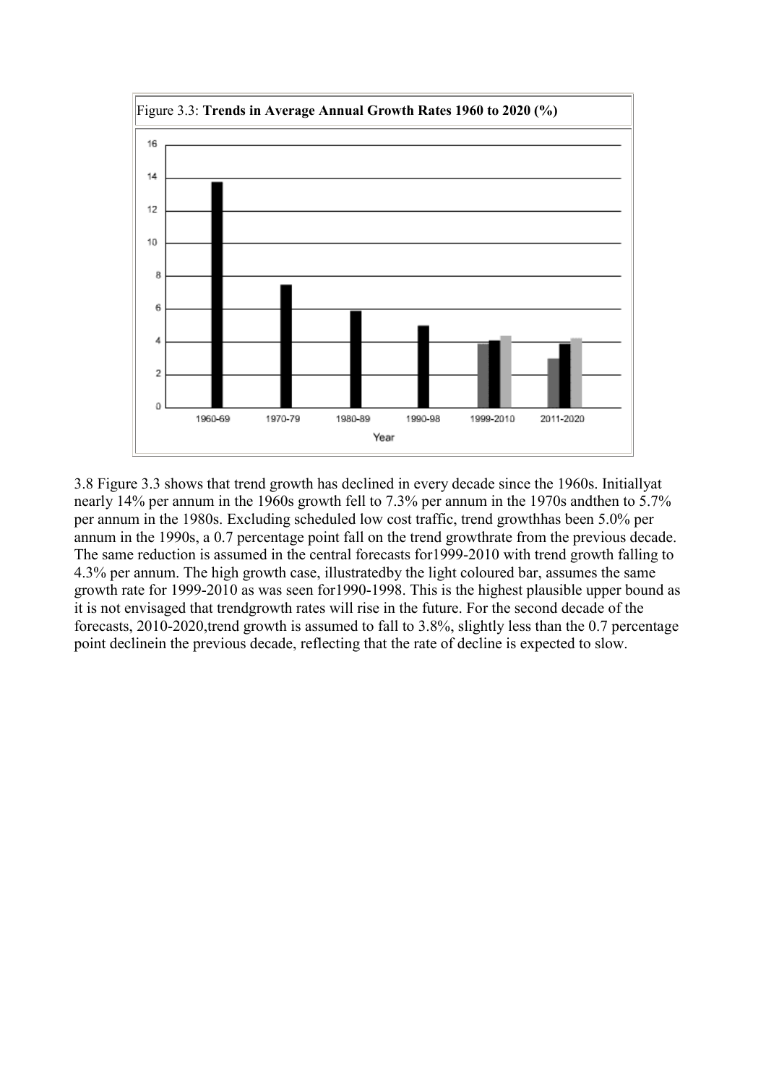

3.8 Figure 3.3 shows that trend growth has declined in every decade since the 1960s. Initiallyat nearly 14% per annum in the 1960s growth fell to 7.3% per annum in the 1970s andthen to 5.7% per annum in the 1980s. Excluding scheduled low cost traffic, trend growthhas been 5.0% per annum in the 1990s, a 0.7 percentage point fall on the trend growthrate from the previous decade. The same reduction is assumed in the central forecasts for1999-2010 with trend growth falling to 4.3% per annum. The high growth case, illustratedby the light coloured bar, assumes the same growth rate for 1999-2010 as was seen for1990-1998. This is the highest plausible upper bound as it is not envisaged that trendgrowth rates will rise in the future. For the second decade of the forecasts, 2010-2020,trend growth is assumed to fall to 3.8%, slightly less than the 0.7 percentage point declinein the previous decade, reflecting that the rate of decline is expected to slow.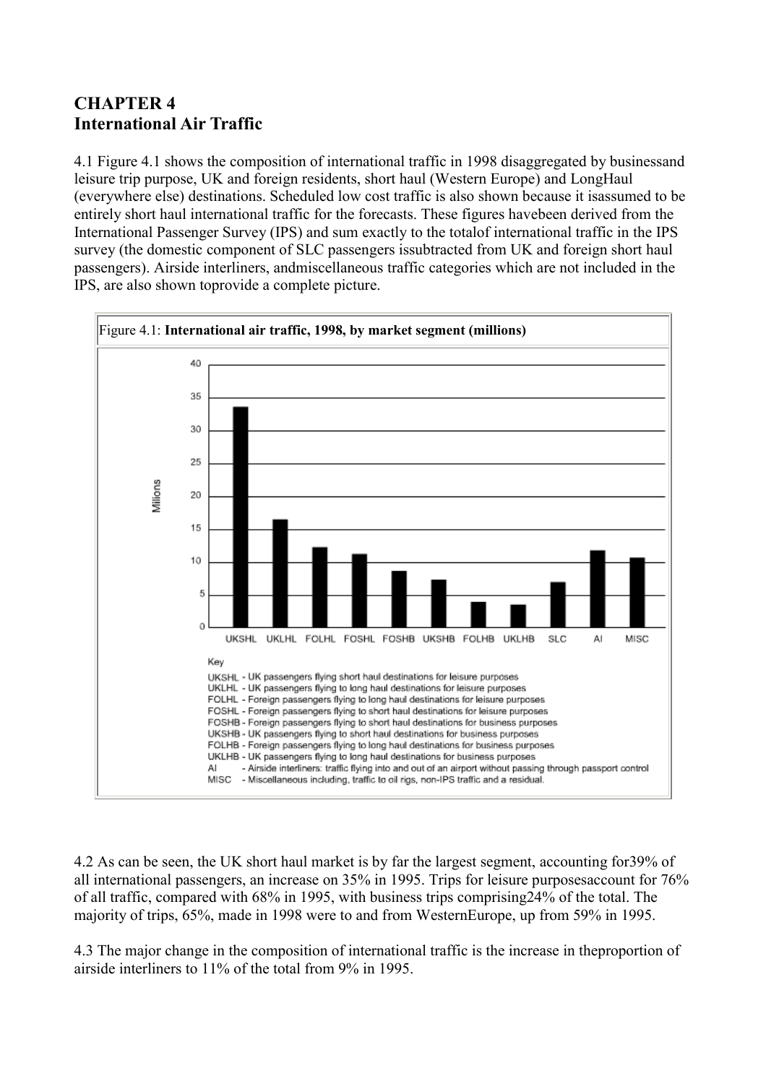## <span id="page-9-0"></span>**CHAPTER 4 International Air Traffic**

4.1 Figure 4.1 shows the composition of international traffic in 1998 disaggregated by businessand leisure trip purpose, UK and foreign residents, short haul (Western Europe) and LongHaul (everywhere else) destinations. Scheduled low cost traffic is also shown because it isassumed to be entirely short haul international traffic for the forecasts. These figures havebeen derived from the International Passenger Survey (IPS) and sum exactly to the totalof international traffic in the IPS survey (the domestic component of SLC passengers issubtracted from UK and foreign short haul passengers). Airside interliners, andmiscellaneous traffic categories which are not included in the IPS, are also shown toprovide a complete picture.



4.2 As can be seen, the UK short haul market is by far the largest segment, accounting for39% of all international passengers, an increase on 35% in 1995. Trips for leisure purposesaccount for 76% of all traffic, compared with 68% in 1995, with business trips comprising24% of the total. The majority of trips, 65%, made in 1998 were to and from WesternEurope, up from 59% in 1995.

4.3 The major change in the composition of international traffic is the increase in theproportion of airside interliners to 11% of the total from 9% in 1995.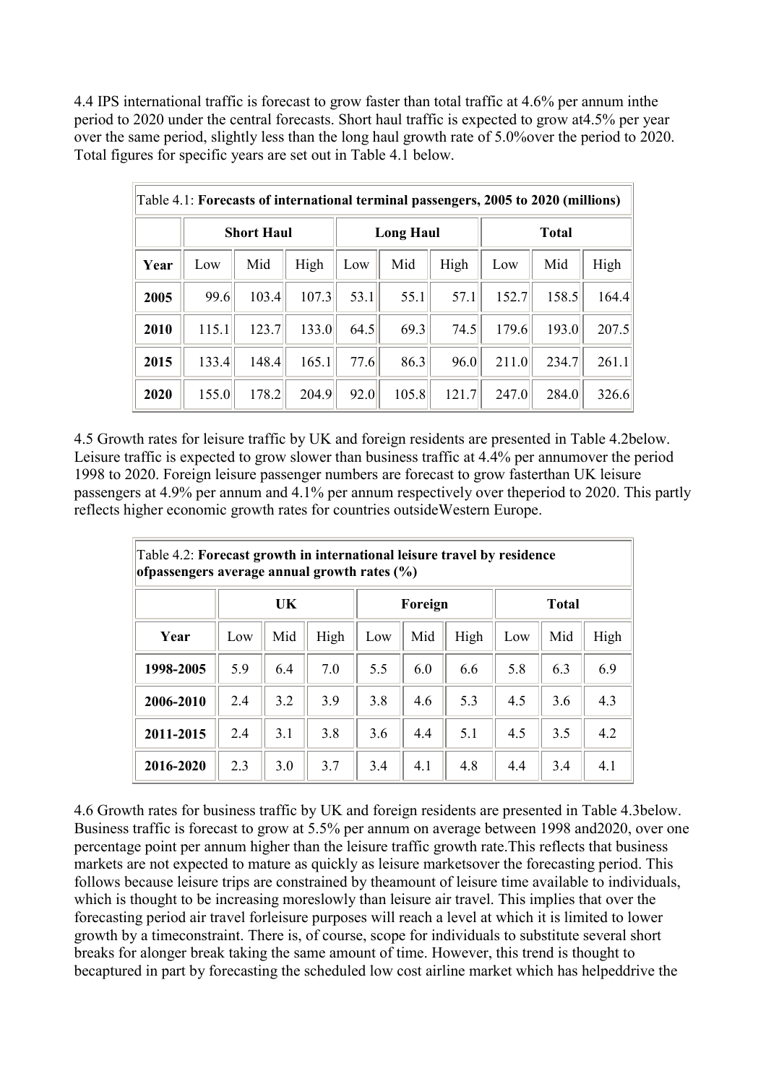4.4 IPS international traffic is forecast to grow faster than total traffic at 4.6% per annum inthe period to 2020 under the central forecasts. Short haul traffic is expected to grow at4.5% per year over the same period, slightly less than the long haul growth rate of 5.0% over the period to 2020. Total figures for specific years are set out in Table 4.1 below.

|      | Table 4.1: Forecasts of international terminal passengers, 2005 to 2020 (millions) |       |       |                     |       |       |              |       |       |  |  |  |
|------|------------------------------------------------------------------------------------|-------|-------|---------------------|-------|-------|--------------|-------|-------|--|--|--|
|      | <b>Short Haul</b>                                                                  |       |       | <b>Long Haul</b>    |       |       | <b>Total</b> |       |       |  |  |  |
| Year | Low                                                                                | Mid   | High  | Low                 | Mid   | High  | Low          | Mid   | High  |  |  |  |
| 2005 | 99.6                                                                               | 103.4 | 107.3 | 53.1                | 55.1  | 57.1  | 152.7        | 158.5 | 164.4 |  |  |  |
| 2010 | 115.1                                                                              | 123.7 | 133.0 | 64.5                | 69.3  | 74.5  | 179.6        | 193.0 | 207.5 |  |  |  |
| 2015 | 133.4                                                                              | 148.4 | 165.1 | $77.6$ <sup>1</sup> | 86.3  | 96.0  | 211.0        | 234.7 | 261.1 |  |  |  |
| 2020 | 155.0                                                                              | 178.2 | 204.9 | 92.0                | 105.8 | 121.7 | 247.0        | 284.0 | 326.6 |  |  |  |

4.5 Growth rates for leisure traffic by UK and foreign residents are presented in Table 4.2below. Leisure traffic is expected to grow slower than business traffic at 4.4% per annumover the period 1998 to 2020. Foreign leisure passenger numbers are forecast to grow fasterthan UK leisure passengers at 4.9% per annum and 4.1% per annum respectively over theperiod to 2020. This partly reflects higher economic growth rates for countries outsideWestern Europe.

| Table 4.2: Forecast growth in international leisure travel by residence<br>ofpassengers average annual growth rates (%) |     |     |      |         |     |      |              |     |      |  |  |
|-------------------------------------------------------------------------------------------------------------------------|-----|-----|------|---------|-----|------|--------------|-----|------|--|--|
|                                                                                                                         | UK  |     |      | Foreign |     |      | <b>Total</b> |     |      |  |  |
| Year                                                                                                                    | Low | Mid | High | Low     | Mid | High | Low          | Mid | High |  |  |
| 1998-2005                                                                                                               | 5.9 | 6.4 | 7.0  | 5.5     | 6.0 | 6.6  | 5.8          | 6.3 | 6.9  |  |  |
| 2006-2010                                                                                                               | 2.4 | 3.2 | 3.9  | 3.8     | 4.6 | 5.3  | 4.5          | 3.6 | 4.3  |  |  |
| 2011-2015                                                                                                               | 2.4 | 3.1 | 3.8  | 3.6     | 4.4 | 5.1  | 4.5          | 3.5 | 4.2  |  |  |
| 2016-2020                                                                                                               | 2.3 | 3.0 | 3.7  | 3.4     | 4.1 | 4.8  | 4.4          | 3.4 | 4.1  |  |  |

4.6 Growth rates for business traffic by UK and foreign residents are presented in Table 4.3below. Business traffic is forecast to grow at 5.5% per annum on average between 1998 and2020, over one percentage point per annum higher than the leisure traffic growth rate.This reflects that business markets are not expected to mature as quickly as leisure marketsover the forecasting period. This follows because leisure trips are constrained by theamount of leisure time available to individuals, which is thought to be increasing moreslowly than leisure air travel. This implies that over the forecasting period air travel forleisure purposes will reach a level at which it is limited to lower growth by a timeconstraint. There is, of course, scope for individuals to substitute several short breaks for alonger break taking the same amount of time. However, this trend is thought to becaptured in part by forecasting the scheduled low cost airline market which has helpeddrive the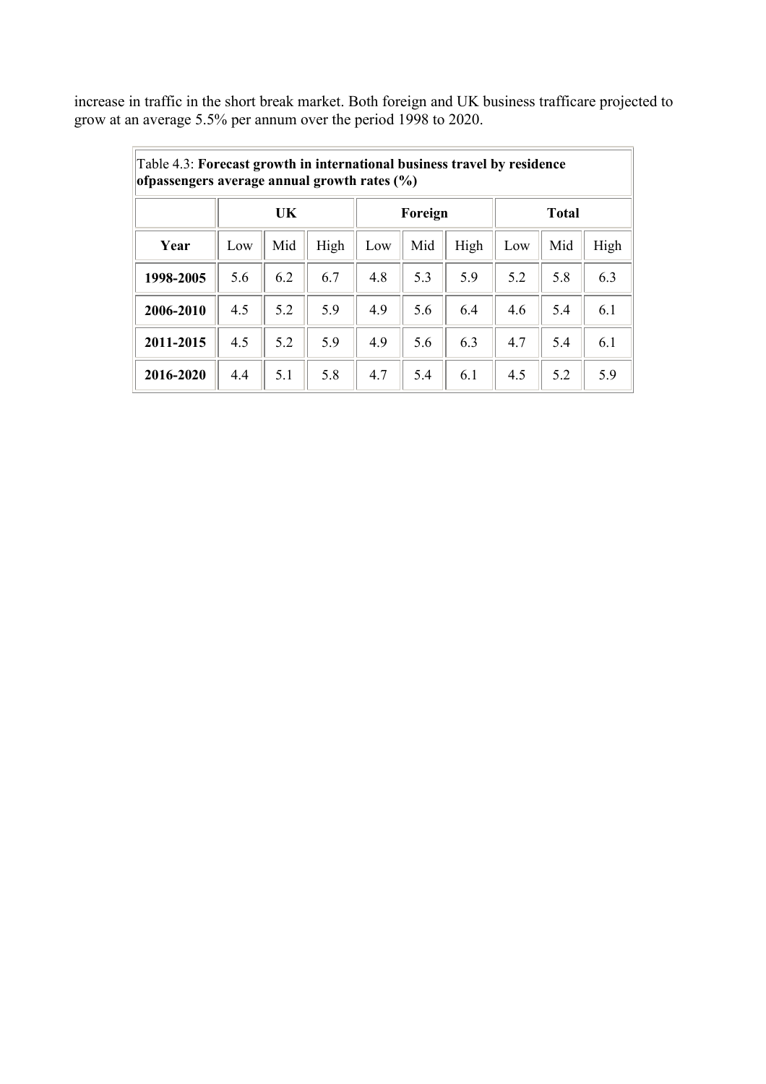increase in traffic in the short break market. Both foreign and UK business trafficare projected to grow at an average 5.5% per annum over the period 1998 to 2020.

|           | Table 4.3: Forecast growth in international business travel by residence<br>ofpassengers average annual growth rates (%) |     |      |         |     |      |              |     |      |  |  |  |
|-----------|--------------------------------------------------------------------------------------------------------------------------|-----|------|---------|-----|------|--------------|-----|------|--|--|--|
|           | UK                                                                                                                       |     |      | Foreign |     |      | <b>Total</b> |     |      |  |  |  |
| Year      | Low                                                                                                                      | Mid | High | Low     | Mid | High | Low          | Mid | High |  |  |  |
| 1998-2005 | 5.6                                                                                                                      | 6.2 | 6.7  | 4.8     | 5.3 | 5.9  | 5.2          | 5.8 | 6.3  |  |  |  |
| 2006-2010 | 4.5                                                                                                                      | 5.2 | 5.9  | 4.9     | 5.6 | 6.4  | 4.6          | 5.4 | 6.1  |  |  |  |
| 2011-2015 | 4.5                                                                                                                      | 5.2 | 5.9  | 4.9     | 5.6 | 6.3  | 4.7          | 5.4 | 6.1  |  |  |  |
| 2016-2020 | 4.4                                                                                                                      | 5.1 | 5.8  | 4.7     | 5.4 | 6.1  | 4.5          | 5.2 | 5.9  |  |  |  |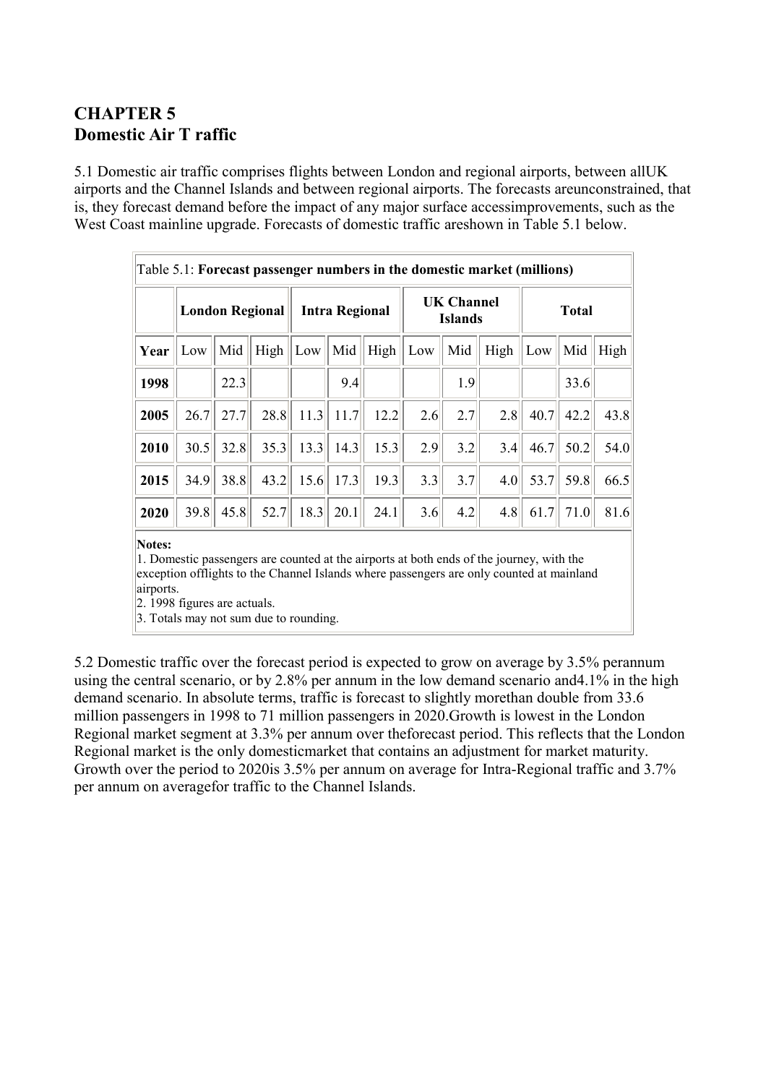## <span id="page-12-0"></span>**CHAPTER 5 Domestic Air T raffic**

5.1 Domestic air traffic comprises flights between London and regional airports, between allUK airports and the Channel Islands and between regional airports. The forecasts areunconstrained, that is, they forecast demand before the impact of any major surface accessimprovements, such as the West Coast mainline upgrade. Forecasts of domestic traffic areshown in Table 5.1 below.

|      | <b>London Regional</b> |      | <b>Intra Regional</b> |      |      | <b>UK Channel</b><br><b>Islands</b> |     |     | <b>Total</b> |      |      |      |
|------|------------------------|------|-----------------------|------|------|-------------------------------------|-----|-----|--------------|------|------|------|
| Year | Low                    | Mid  | High                  | Low  | Mid  | High                                | Low | Mid | High         | Low  | Mid  | High |
| 1998 |                        | 22.3 |                       |      | 9.4  |                                     |     | 1.9 |              |      | 33.6 |      |
| 2005 | 26.7                   | 27.7 | 28.8                  | 11.3 | 11.7 | 12.2                                | 2.6 | 2.7 | 2.8          | 40.7 | 42.2 | 43.8 |
| 2010 | 30.5                   | 32.8 | 35.3                  | 13.3 | 14.3 | 15.3                                | 2.9 | 3.2 | 3.4          | 46.7 | 50.2 | 54.0 |
| 2015 | 34.9                   | 38.8 | 43.2                  | 15.6 | 17.3 | 19.3                                | 3.3 | 3.7 | 4.0          | 53.7 | 59.8 | 66.5 |
| 2020 | 39.8                   | 45.8 | 52.7                  | 18.3 | 20.1 | 24.1                                | 3.6 | 4.2 | 4.8          | 61.7 | 71.0 | 81.6 |

1. Domestic passengers are counted at the airports at both ends of the journey, with the exception offlights to the Channel Islands where passengers are only counted at mainland airports.

 $\vert$ 2. 1998 figures are actuals.

3. Totals may not sum due to rounding.

5.2 Domestic traffic over the forecast period is expected to grow on average by 3.5% perannum using the central scenario, or by 2.8% per annum in the low demand scenario and4.1% in the high demand scenario. In absolute terms, traffic is forecast to slightly morethan double from 33.6 million passengers in 1998 to 71 million passengers in 2020.Growth is lowest in the London Regional market segment at 3.3% per annum over theforecast period. This reflects that the London Regional market is the only domesticmarket that contains an adjustment for market maturity. Growth over the period to 2020is 3.5% per annum on average for Intra-Regional traffic and 3.7% per annum on averagefor traffic to the Channel Islands.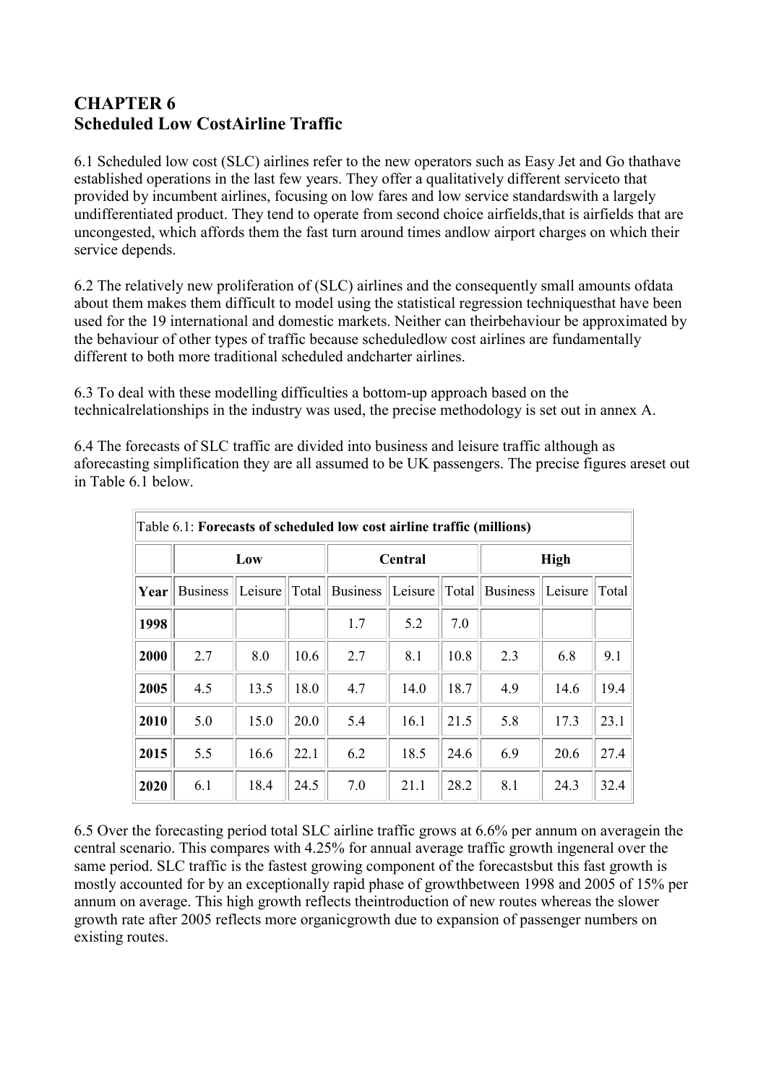## <span id="page-13-0"></span>**CHAPTER 6 Scheduled Low CostAirline Traffic**

6.1 Scheduled low cost (SLC) airlines refer to the new operators such as Easy Jet and Go thathave established operations in the last few years. They offer a qualitatively different serviceto that provided by incumbent airlines, focusing on low fares and low service standardswith a largely undifferentiated product. They tend to operate from second choice airfields,that is airfields that are uncongested, which affords them the fast turn around times andlow airport charges on which their service depends.

6.2 The relatively new proliferation of (SLC) airlines and the consequently small amounts ofdata about them makes them difficult to model using the statistical regression techniquesthat have been used for the 19 international and domestic markets. Neither can theirbehaviour be approximated by the behaviour of other types of traffic because scheduledlow cost airlines are fundamentally different to both more traditional scheduled andcharter airlines.

6.3 To deal with these modelling difficulties a bottom-up approach based on the technicalrelationships in the industry was used, the precise methodology is set out in annex A.

6.4 The forecasts of SLC traffic are divided into business and leisure traffic although as aforecasting simplification they are all assumed to be UK passengers. The precise figures areset out in Table 6.1 below.

|      | Table 6.1: Forecasts of scheduled low cost airline traffic (millions) |         |       |                 |         |       |                 |         |       |  |  |  |
|------|-----------------------------------------------------------------------|---------|-------|-----------------|---------|-------|-----------------|---------|-------|--|--|--|
|      | Low                                                                   |         |       |                 | Central |       | <b>High</b>     |         |       |  |  |  |
| Year | <b>Business</b>                                                       | Leisure | Total | <b>Business</b> | Leisure | Total | <b>Business</b> | Leisure | Total |  |  |  |
| 1998 |                                                                       |         |       | 1.7             | 5.2     | 7.0   |                 |         |       |  |  |  |
| 2000 | 2.7                                                                   | 8.0     | 10.6  | 2.7             | 8.1     | 10.8  | 2.3             | 6.8     | 9.1   |  |  |  |
| 2005 | 4.5                                                                   | 13.5    | 18.0  | 4.7             | 14.0    | 18.7  | 4.9             | 14.6    | 19.4  |  |  |  |
| 2010 | 5.0                                                                   | 15.0    | 20.0  | 5.4             | 16.1    | 21.5  | 5.8             | 17.3    | 23.1  |  |  |  |
| 2015 | 5.5                                                                   | 16.6    | 22.1  | 6.2             | 18.5    | 24.6  | 6.9             | 20.6    | 27.4  |  |  |  |
| 2020 | 6.1                                                                   | 18.4    | 24.5  | 7.0             | 21.1    | 28.2  | 8.1             | 24.3    | 32.4  |  |  |  |

6.5 Over the forecasting period total SLC airline traffic grows at 6.6% per annum on averagein the central scenario. This compares with 4.25% for annual average traffic growth ingeneral over the same period. SLC traffic is the fastest growing component of the forecastsbut this fast growth is mostly accounted for by an exceptionally rapid phase of growthbetween 1998 and 2005 of 15% per annum on average. This high growth reflects theintroduction of new routes whereas the slower growth rate after 2005 reflects more organicgrowth due to expansion of passenger numbers on existing routes.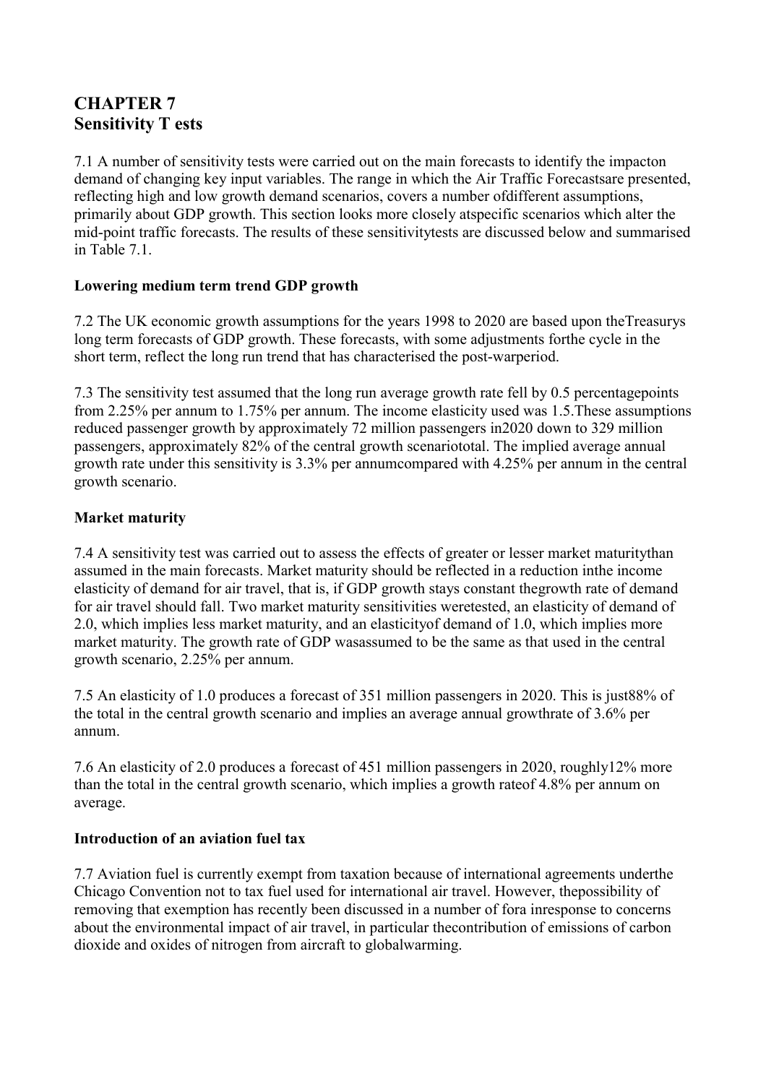## <span id="page-14-0"></span>**CHAPTER 7 Sensitivity T ests**

7.1 A number of sensitivity tests were carried out on the main forecasts to identify the impacton demand of changing key input variables. The range in which the Air Traffic Forecastsare presented, reflecting high and low growth demand scenarios, covers a number ofdifferent assumptions, primarily about GDP growth. This section looks more closely atspecific scenarios which alter the mid-point traffic forecasts. The results of these sensitivitytests are discussed below and summarised in Table 7.1

#### **Lowering medium term trend GDP growth**

7.2 The UK economic growth assumptions for the years 1998 to 2020 are based upon theTreasurys long term forecasts of GDP growth. These forecasts, with some adjustments forthe cycle in the short term, reflect the long run trend that has characterised the post-warperiod.

7.3 The sensitivity test assumed that the long run average growth rate fell by 0.5 percentagepoints from 2.25% per annum to 1.75% per annum. The income elasticity used was 1.5.These assumptions reduced passenger growth by approximately 72 million passengers in2020 down to 329 million passengers, approximately 82% of the central growth scenariototal. The implied average annual growth rate under this sensitivity is 3.3% per annumcompared with 4.25% per annum in the central growth scenario.

#### **Market maturity**

7.4 A sensitivity test was carried out to assess the effects of greater or lesser market maturitythan assumed in the main forecasts. Market maturity should be reflected in a reduction inthe income elasticity of demand for air travel, that is, if GDP growth stays constant thegrowth rate of demand for air travel should fall. Two market maturity sensitivities weretested, an elasticity of demand of 2.0, which implies less market maturity, and an elasticityof demand of 1.0, which implies more market maturity. The growth rate of GDP wasassumed to be the same as that used in the central growth scenario, 2.25% per annum.

7.5 An elasticity of 1.0 produces a forecast of 351 million passengers in 2020. This is just88% of the total in the central growth scenario and implies an average annual growthrate of 3.6% per annum.

7.6 An elasticity of 2.0 produces a forecast of 451 million passengers in 2020, roughly12% more than the total in the central growth scenario, which implies a growth rateof 4.8% per annum on average.

#### **Introduction of an aviation fuel tax**

7.7 Aviation fuel is currently exempt from taxation because of international agreements underthe Chicago Convention not to tax fuel used for international air travel. However, thepossibility of removing that exemption has recently been discussed in a number of fora inresponse to concerns about the environmental impact of air travel, in particular thecontribution of emissions of carbon dioxide and oxides of nitrogen from aircraft to globalwarming.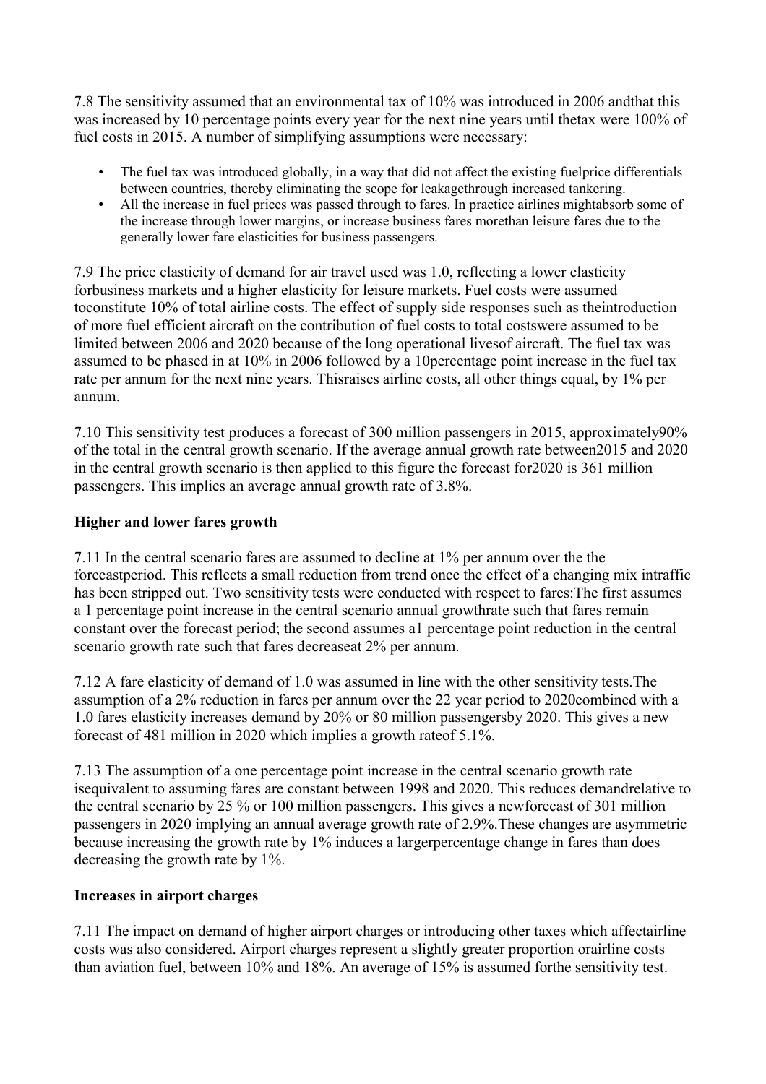<span id="page-15-0"></span>7.8 The sensitivity assumed that an environmental tax of 10% was introduced in 2006 andthat this was increased by 10 percentage points every year for the next nine years until thetax were 100% of fuel costs in 2015. A number of simplifying assumptions were necessary:

- The fuel tax was introduced globally, in a way that did not affect the existing fuelprice differentials between countries, thereby eliminating the scope for leakagethrough increased tankering.
- All the increase in fuel prices was passed through to fares. In practice airlines mightabsorb some of the increase through lower margins, or increase business fares morethan leisure fares due to the generally lower fare elasticities for business passengers.

7.9 The price elasticity of demand for air travel used was 1.0, reflecting a lower elasticity forbusiness markets and a higher elasticity for leisure markets. Fuel costs were assumed toconstitute 10% of total airline costs. The effect of supply side responses such as theintroduction of more fuel efficient aircraft on the contribution of fuel costs to total costswere assumed to be limited between 2006 and 2020 because of the long operational livesof aircraft. The fuel tax was assumed to be phased in at 10% in 2006 followed by a 10percentage point increase in the fuel tax rate per annum for the next nine years. Thisraises airline costs, all other things equal, by 1% per annum.

7.10 This sensitivity test produces a forecast of 300 million passengers in 2015, approximately90% of the total in the central growth scenario. If the average annual growth rate between2015 and 2020 in the central growth scenario is then applied to this figure the forecast for2020 is 361 million passengers. This implies an average annual growth rate of 3.8%.

#### **Higher and lower fares growth**

7.11 In the central scenario fares are assumed to decline at 1% per annum over the the forecastperiod. This reflects a small reduction from trend once the effect of a changing mix intraffic has been stripped out. Two sensitivity tests were conducted with respect to fares:The first assumes a 1 percentage point increase in the central scenario annual growthrate such that fares remain constant over the forecast period; the second assumes a1 percentage point reduction in the central scenario growth rate such that fares decreaseat 2% per annum.

7.12 A fare elasticity of demand of 1.0 was assumed in line with the other sensitivity tests.The assumption of a 2% reduction in fares per annum over the 22 year period to 2020combined with a 1.0 fares elasticity increases demand by 20% or 80 million passengersby 2020. This gives a new forecast of 481 million in 2020 which implies a growth rateof 5.1%.

7.13 The assumption of a one percentage point increase in the central scenario growth rate isequivalent to assuming fares are constant between 1998 and 2020. This reduces demandrelative to the central scenario by 25 % or 100 million passengers. This gives a newforecast of 301 million passengers in 2020 implying an annual average growth rate of 2.9%.These changes are asymmetric because increasing the growth rate by 1% induces a largerpercentage change in fares than does decreasing the growth rate by 1%.

#### **Increases in airport charges**

7.11 The impact on demand of higher airport charges or introducing other taxes which affectairline costs was also considered. Airport charges represent a slightly greater proportion orairline costs than aviation fuel, between 10% and 18%. An average of 15% is assumed forthe sensitivity test.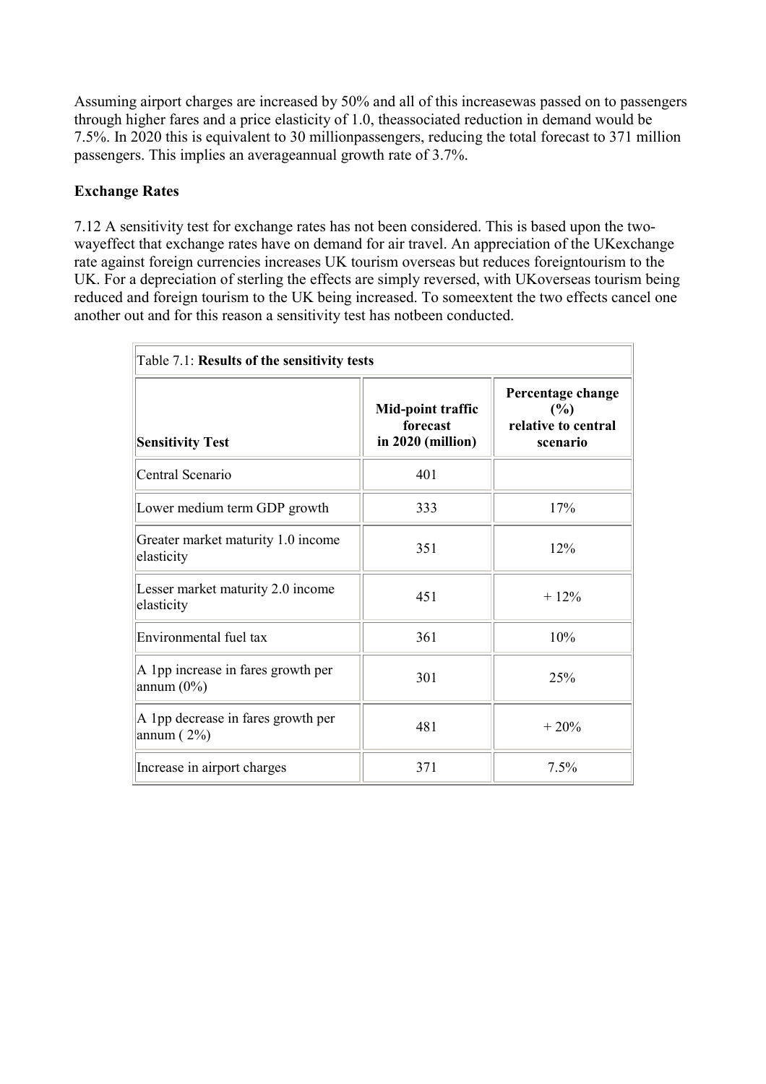<span id="page-16-0"></span>Assuming airport charges are increased by 50% and all of this increasewas passed on to passengers through higher fares and a price elasticity of 1.0, theassociated reduction in demand would be 7.5%. In 2020 this is equivalent to 30 millionpassengers, reducing the total forecast to 371 million passengers. This implies an averageannual growth rate of 3.7%.

#### **Exchange Rates**

7.12 A sensitivity test for exchange rates has not been considered. This is based upon the twowayeffect that exchange rates have on demand for air travel. An appreciation of the UKexchange rate against foreign currencies increases UK tourism overseas but reduces foreigntourism to the UK. For a depreciation of sterling the effects are simply reversed, with UKoverseas tourism being reduced and foreign tourism to the UK being increased. To someextent the two effects cancel one another out and for this reason a sensitivity test has notbeen conducted.

| Table 7.1: Results of the sensitivity tests         |                                                    |                                                             |  |  |  |  |  |
|-----------------------------------------------------|----------------------------------------------------|-------------------------------------------------------------|--|--|--|--|--|
| <b>Sensitivity Test</b>                             | Mid-point traffic<br>forecast<br>in 2020 (million) | Percentage change<br>(%)<br>relative to central<br>scenario |  |  |  |  |  |
| Central Scenario                                    | 401                                                |                                                             |  |  |  |  |  |
| Lower medium term GDP growth                        | 333                                                | 17%                                                         |  |  |  |  |  |
| Greater market maturity 1.0 income<br>elasticity    | 351                                                | 12%                                                         |  |  |  |  |  |
| Lesser market maturity 2.0 income<br>elasticity     | 451                                                | $+12\%$                                                     |  |  |  |  |  |
| Environmental fuel tax                              | 361                                                | 10%                                                         |  |  |  |  |  |
| A 1pp increase in fares growth per<br>annum $(0\%)$ | 301                                                | 25%                                                         |  |  |  |  |  |
| A 1pp decrease in fares growth per<br>annum $(2\%)$ | 481                                                | $+20%$                                                      |  |  |  |  |  |
| Increase in airport charges                         | 371                                                | 7.5%                                                        |  |  |  |  |  |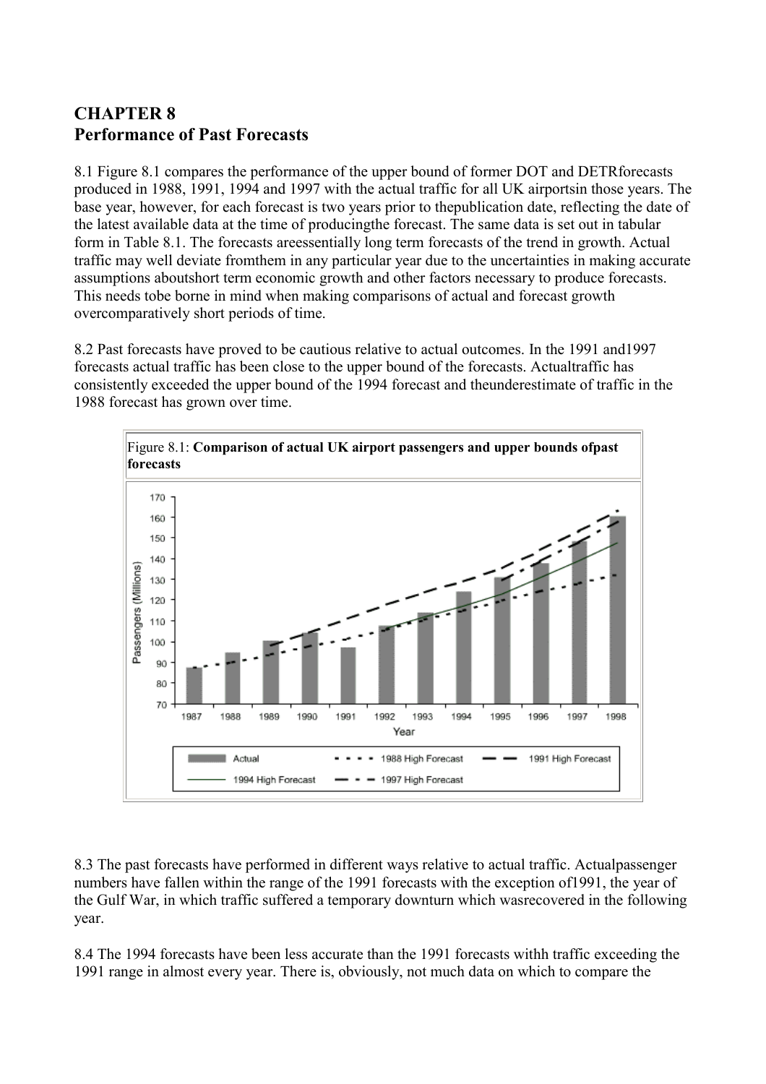## <span id="page-17-0"></span>**CHAPTER 8 Performance of Past Forecasts**

8.1 Figure 8.1 compares the performance of the upper bound of former DOT and DETRforecasts produced in 1988, 1991, 1994 and 1997 with the actual traffic for all UK airportsin those years. The base year, however, for each forecast is two years prior to thepublication date, reflecting the date of the latest available data at the time of producingthe forecast. The same data is set out in tabular form in Table 8.1. The forecasts areessentially long term forecasts of the trend in growth. Actual traffic may well deviate fromthem in any particular year due to the uncertainties in making accurate assumptions aboutshort term economic growth and other factors necessary to produce forecasts. This needs tobe borne in mind when making comparisons of actual and forecast growth overcomparatively short periods of time.

8.2 Past forecasts have proved to be cautious relative to actual outcomes. In the 1991 and1997 forecasts actual traffic has been close to the upper bound of the forecasts. Actualtraffic has consistently exceeded the upper bound of the 1994 forecast and theunderestimate of traffic in the 1988 forecast has grown over time.



8.3 The past forecasts have performed in different ways relative to actual traffic. Actualpassenger numbers have fallen within the range of the 1991 forecasts with the exception of1991, the year of the Gulf War, in which traffic suffered a temporary downturn which wasrecovered in the following year.

8.4 The 1994 forecasts have been less accurate than the 1991 forecasts withh traffic exceeding the 1991 range in almost every year. There is, obviously, not much data on which to compare the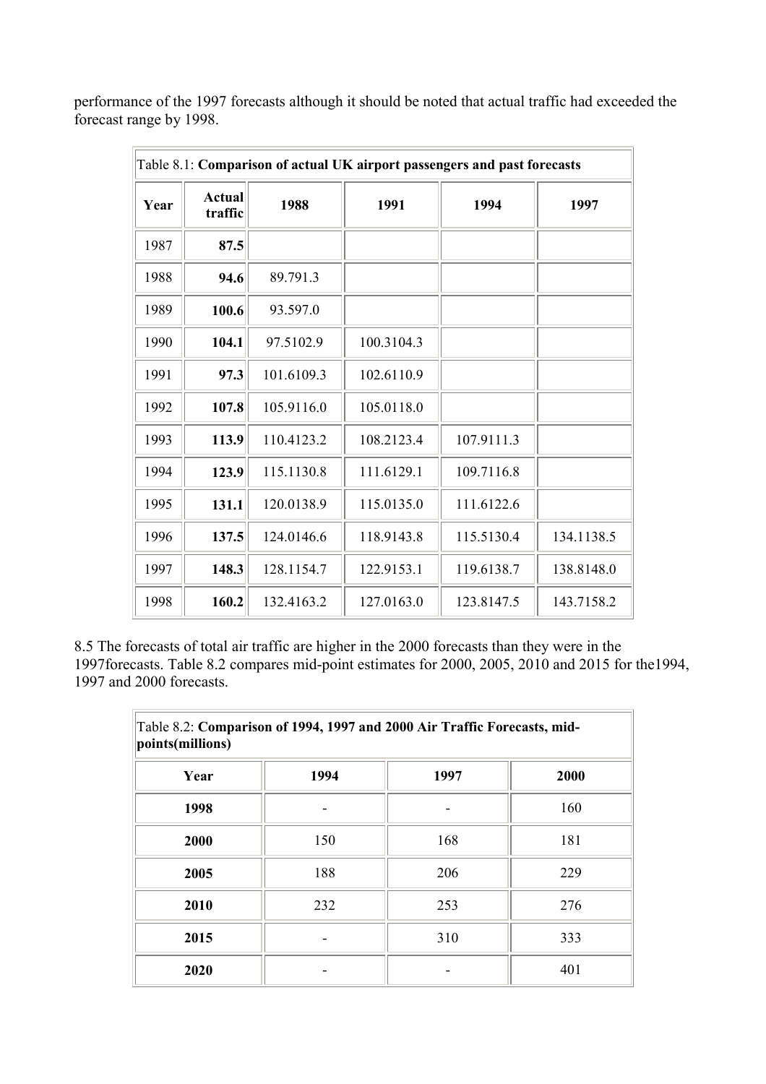performance of the 1997 forecasts although it should be noted that actual traffic had exceeded the forecast range by 1998.

|      |                   |            |            | Table 8.1: Comparison of actual UK airport passengers and past forecasts |            |
|------|-------------------|------------|------------|--------------------------------------------------------------------------|------------|
| Year | Actual<br>traffic | 1988       | 1991       | 1994                                                                     | 1997       |
| 1987 | 87.5              |            |            |                                                                          |            |
| 1988 | 94.6              | 89.791.3   |            |                                                                          |            |
| 1989 | 100.6             | 93.597.0   |            |                                                                          |            |
| 1990 | 104.1             | 97.5102.9  | 100.3104.3 |                                                                          |            |
| 1991 | 97.3              | 101.6109.3 | 102.6110.9 |                                                                          |            |
| 1992 | 107.8             | 105.9116.0 | 105.0118.0 |                                                                          |            |
| 1993 | 113.9             | 110.4123.2 | 108.2123.4 | 107.9111.3                                                               |            |
| 1994 | 123.9             | 115.1130.8 | 111.6129.1 | 109.7116.8                                                               |            |
| 1995 | 131.1             | 120.0138.9 | 115.0135.0 | 111.6122.6                                                               |            |
| 1996 | 137.5             | 124.0146.6 | 118.9143.8 | 115.5130.4                                                               | 134.1138.5 |
| 1997 | 148.3             | 128.1154.7 | 122.9153.1 | 119.6138.7                                                               | 138.8148.0 |
| 1998 | 160.2             | 132.4163.2 | 127.0163.0 | 123.8147.5                                                               | 143.7158.2 |

8.5 The forecasts of total air traffic are higher in the 2000 forecasts than they were in the 1997forecasts. Table 8.2 compares mid-point estimates for 2000, 2005, 2010 and 2015 for the1994, 1997 and 2000 forecasts.

| Table 8.2: Comparison of 1994, 1997 and 2000 Air Traffic Forecasts, mid-<br>points(millions) |      |      |      |  |  |  |  |  |  |
|----------------------------------------------------------------------------------------------|------|------|------|--|--|--|--|--|--|
| Year                                                                                         | 1994 | 1997 | 2000 |  |  |  |  |  |  |
| 1998                                                                                         |      |      | 160  |  |  |  |  |  |  |
| 2000                                                                                         | 150  | 168  | 181  |  |  |  |  |  |  |
| 2005                                                                                         | 188  | 206  | 229  |  |  |  |  |  |  |
| 2010                                                                                         | 232  | 253  | 276  |  |  |  |  |  |  |
| 2015                                                                                         |      | 310  | 333  |  |  |  |  |  |  |
| 2020                                                                                         |      |      | 401  |  |  |  |  |  |  |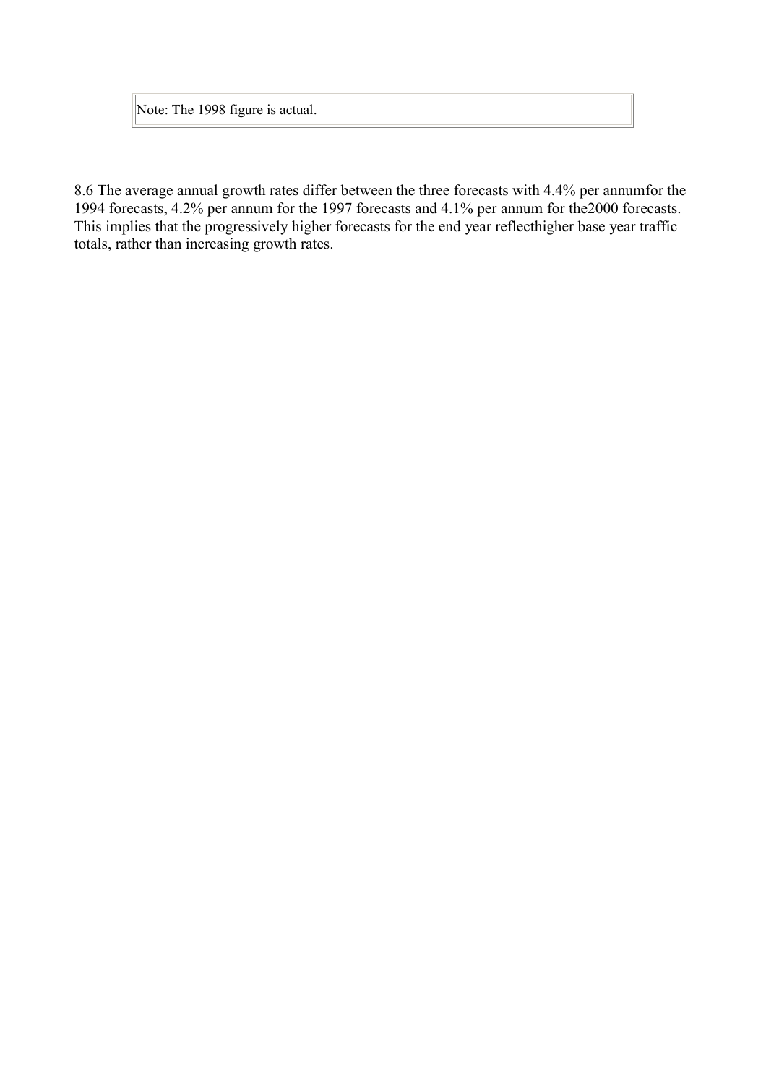Note: The 1998 figure is actual.

8.6 The average annual growth rates differ between the three forecasts with 4.4% per annumfor the 1994 forecasts, 4.2% per annum for the 1997 forecasts and 4.1% per annum for the2000 forecasts. This implies that the progressively higher forecasts for the end year reflecthigher base year traffic totals, rather than increasing growth rates.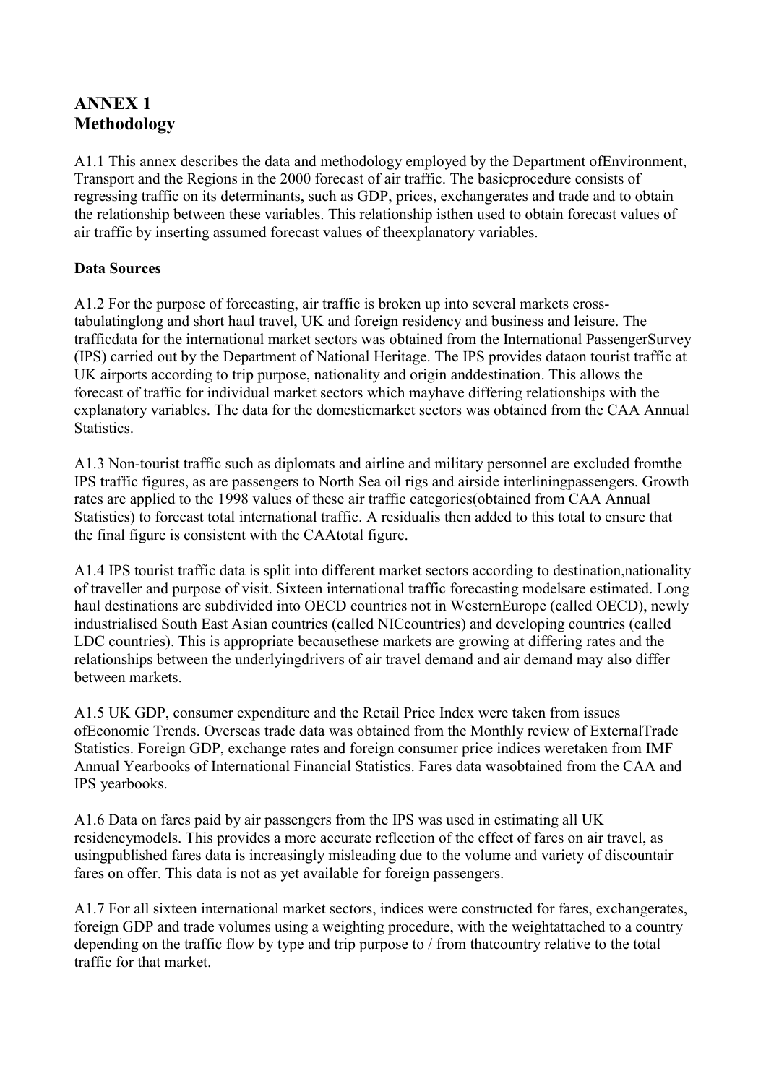## <span id="page-20-0"></span>**ANNEX 1 Methodology**

A1.1 This annex describes the data and methodology employed by the Department ofEnvironment, Transport and the Regions in the 2000 forecast of air traffic. The basicprocedure consists of regressing traffic on its determinants, such as GDP, prices, exchangerates and trade and to obtain the relationship between these variables. This relationship isthen used to obtain forecast values of air traffic by inserting assumed forecast values of theexplanatory variables.

#### **Data Sources**

A1.2 For the purpose of forecasting, air traffic is broken up into several markets crosstabulatinglong and short haul travel, UK and foreign residency and business and leisure. The trafficdata for the international market sectors was obtained from the International PassengerSurvey (IPS) carried out by the Department of National Heritage. The IPS provides dataon tourist traffic at UK airports according to trip purpose, nationality and origin anddestination. This allows the forecast of traffic for individual market sectors which mayhave differing relationships with the explanatory variables. The data for the domesticmarket sectors was obtained from the CAA Annual **Statistics** 

A1.3 Non-tourist traffic such as diplomats and airline and military personnel are excluded fromthe IPS traffic figures, as are passengers to North Sea oil rigs and airside interliningpassengers. Growth rates are applied to the 1998 values of these air traffic categories(obtained from CAA Annual Statistics) to forecast total international traffic. A residualis then added to this total to ensure that the final figure is consistent with the CAAtotal figure.

A1.4 IPS tourist traffic data is split into different market sectors according to destination,nationality of traveller and purpose of visit. Sixteen international traffic forecasting modelsare estimated. Long haul destinations are subdivided into OECD countries not in WesternEurope (called OECD), newly industrialised South East Asian countries (called NICcountries) and developing countries (called LDC countries). This is appropriate becausethese markets are growing at differing rates and the relationships between the underlyingdrivers of air travel demand and air demand may also differ between markets.

A1.5 UK GDP, consumer expenditure and the Retail Price Index were taken from issues ofEconomic Trends. Overseas trade data was obtained from the Monthly review of ExternalTrade Statistics. Foreign GDP, exchange rates and foreign consumer price indices weretaken from IMF Annual Yearbooks of International Financial Statistics. Fares data wasobtained from the CAA and IPS yearbooks.

A1.6 Data on fares paid by air passengers from the IPS was used in estimating all UK residencymodels. This provides a more accurate reflection of the effect of fares on air travel, as usingpublished fares data is increasingly misleading due to the volume and variety of discountair fares on offer. This data is not as yet available for foreign passengers.

A1.7 For all sixteen international market sectors, indices were constructed for fares, exchangerates, foreign GDP and trade volumes using a weighting procedure, with the weightattached to a country depending on the traffic flow by type and trip purpose to / from thatcountry relative to the total traffic for that market.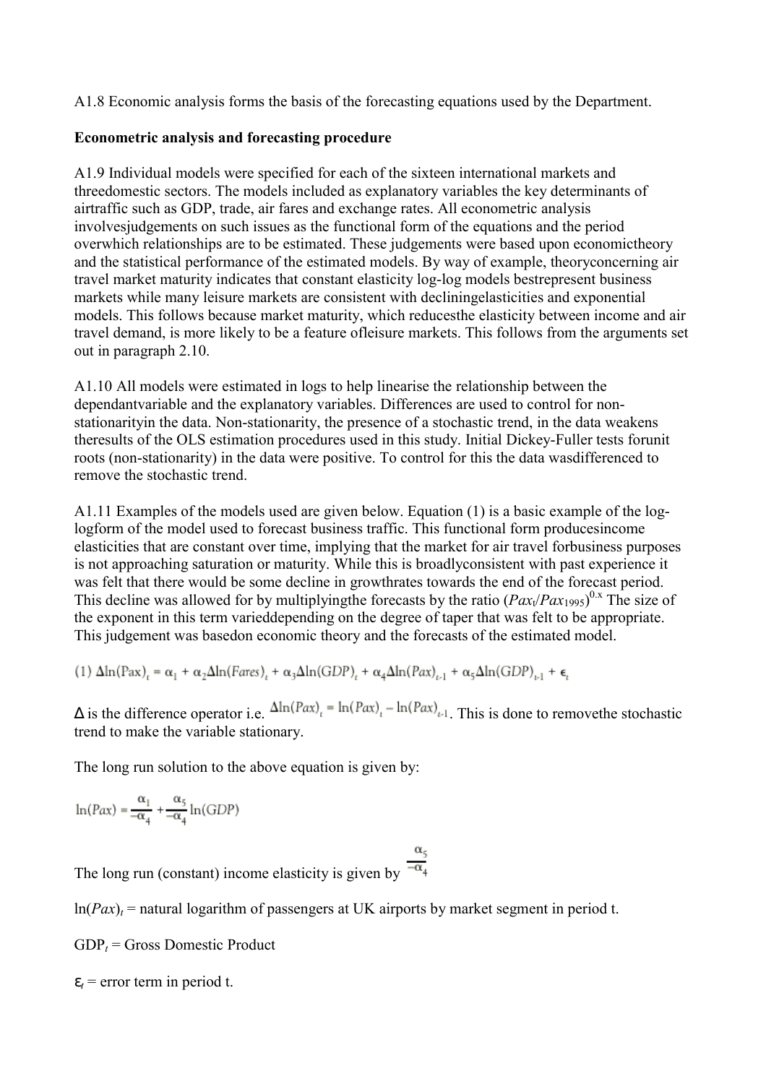<span id="page-21-0"></span>A1.8 Economic analysis forms the basis of the forecasting equations used by the Department.

#### **Econometric analysis and forecasting procedure**

A1.9 Individual models were specified for each of the sixteen international markets and threedomestic sectors. The models included as explanatory variables the key determinants of airtraffic such as GDP, trade, air fares and exchange rates. All econometric analysis involvesjudgements on such issues as the functional form of the equations and the period overwhich relationships are to be estimated. These judgements were based upon economictheory and the statistical performance of the estimated models. By way of example, theoryconcerning air travel market maturity indicates that constant elasticity log-log models bestrepresent business markets while many leisure markets are consistent with decliningelasticities and exponential models. This follows because market maturity, which reducesthe elasticity between income and air travel demand, is more likely to be a feature ofleisure markets. This follows from the arguments set out in paragraph 2.10.

A1.10 All models were estimated in logs to help linearise the relationship between the dependantvariable and the explanatory variables. Differences are used to control for nonstationarityin the data. Non-stationarity, the presence of a stochastic trend, in the data weakens theresults of the OLS estimation procedures used in this study. Initial Dickey-Fuller tests forunit roots (non-stationarity) in the data were positive. To control for this the data wasdifferenced to remove the stochastic trend.

A1.11 Examples of the models used are given below. Equation (1) is a basic example of the loglogform of the model used to forecast business traffic. This functional form producesincome elasticities that are constant over time, implying that the market for air travel forbusiness purposes is not approaching saturation or maturity. While this is broadlyconsistent with past experience it was felt that there would be some decline in growthrates towards the end of the forecast period. This decline was allowed for by multiplying the forecasts by the ratio  $(Pax_1/Par_{1995})^{0.x}$  The size of the exponent in this term varieddepending on the degree of taper that was felt to be appropriate. This judgement was basedon economic theory and the forecasts of the estimated model.

(1) 
$$
\Delta \ln(\text{Pax})_t = \alpha_1 + \alpha_2 \Delta \ln(\text{Fares})_t + \alpha_3 \Delta \ln(\text{GDP})_t + \alpha_4 \Delta \ln(\text{Pax})_{t-1} + \alpha_5 \Delta \ln(\text{GDP})_{t-1} + \epsilon_t
$$

 $\Delta$  is the difference operator i.e.  $\Delta \ln(Pax)_t = \ln(Pax)_t - \ln(Pax)_{t-1}$ . This is done to remove the stochastic trend to make the variable stationary.

The long run solution to the above equation is given by:

$$
\ln(Pax) = \frac{\alpha_1}{-\alpha_4} + \frac{\alpha_5}{-\alpha_4}\ln(\text{GDP})
$$

The long run (constant) income elasticity is given by  $\frac{d}{dx}$ 

 $ln(Pax)$ <sub>t</sub> = natural logarithm of passengers at UK airports by market segment in period t.

 $GDP_t = Gross$  Domestic Product

 $\varepsilon_t$  = error term in period t.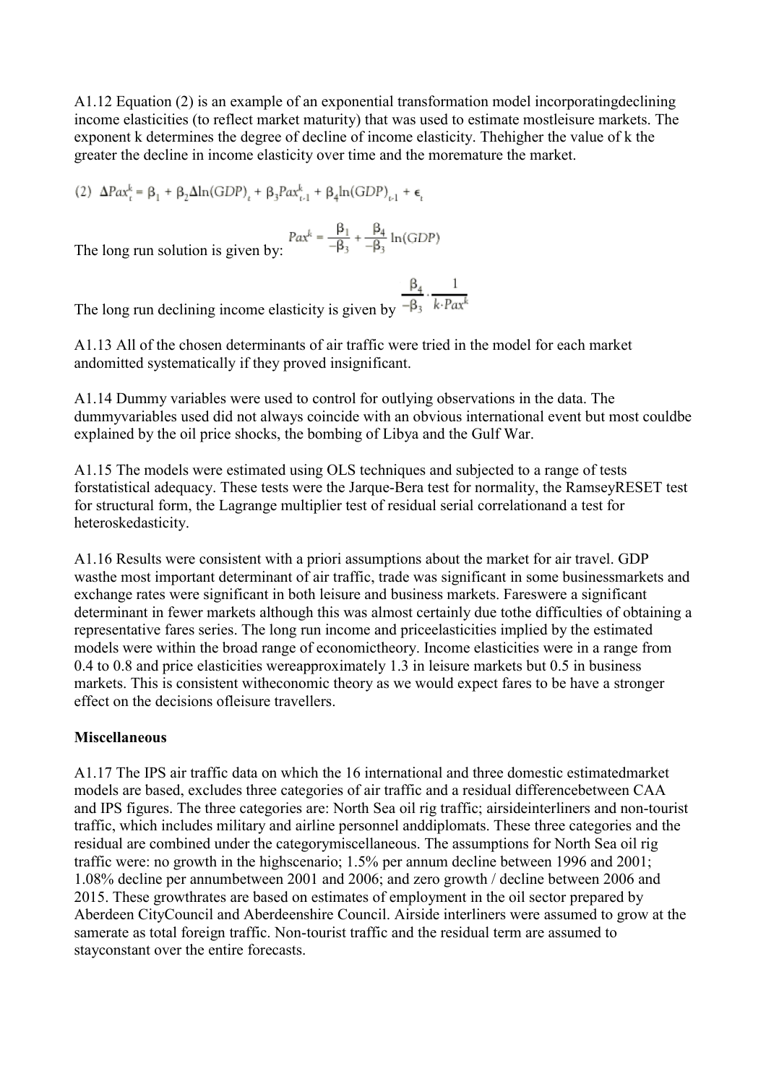<span id="page-22-0"></span>A1.12 Equation (2) is an example of an exponential transformation model incorporatingdeclining income elasticities (to reflect market maturity) that was used to estimate mostleisure markets. The exponent k determines the degree of decline of income elasticity. Thehigher the value of k the greater the decline in income elasticity over time and the moremature the market.

(2)  $\Delta Pax_{t}^{k} = \beta_{1} + \beta_{2}\Delta \ln(GDP)_{t} + \beta_{3}Pax_{t-1}^{k} + \beta_{4}\ln(GDP)_{t-1} + \epsilon_{t}$ 

$$
Pax^k = \frac{\beta_1}{-\beta_3} + \frac{\beta_4}{-\beta_3} \ln(\text{GDP})
$$

The long run solution is given by:

The long run declining income elasticity is given by  $\frac{\beta_4}{-\beta_3} \cdot \frac{1}{k \cdot P \alpha x^k}$ 

A1.13 All of the chosen determinants of air traffic were tried in the model for each market andomitted systematically if they proved insignificant.

A1.14 Dummy variables were used to control for outlying observations in the data. The dummyvariables used did not always coincide with an obvious international event but most couldbe explained by the oil price shocks, the bombing of Libya and the Gulf War.

A1.15 The models were estimated using OLS techniques and subjected to a range of tests forstatistical adequacy. These tests were the Jarque-Bera test for normality, the RamseyRESET test for structural form, the Lagrange multiplier test of residual serial correlationand a test for heteroskedasticity.

A1.16 Results were consistent with a priori assumptions about the market for air travel. GDP wasthe most important determinant of air traffic, trade was significant in some businessmarkets and exchange rates were significant in both leisure and business markets. Fareswere a significant determinant in fewer markets although this was almost certainly due tothe difficulties of obtaining a representative fares series. The long run income and priceelasticities implied by the estimated models were within the broad range of economictheory. Income elasticities were in a range from 0.4 to 0.8 and price elasticities wereapproximately 1.3 in leisure markets but 0.5 in business markets. This is consistent witheconomic theory as we would expect fares to be have a stronger effect on the decisions ofleisure travellers.

#### **Miscellaneous**

A1.17 The IPS air traffic data on which the 16 international and three domestic estimatedmarket models are based, excludes three categories of air traffic and a residual differencebetween CAA and IPS figures. The three categories are: North Sea oil rig traffic; airsideinterliners and non-tourist traffic, which includes military and airline personnel anddiplomats. These three categories and the residual are combined under the categorymiscellaneous. The assumptions for North Sea oil rig traffic were: no growth in the highscenario; 1.5% per annum decline between 1996 and 2001; 1.08% decline per annumbetween 2001 and 2006; and zero growth / decline between 2006 and 2015. These growthrates are based on estimates of employment in the oil sector prepared by Aberdeen CityCouncil and Aberdeenshire Council. Airside interliners were assumed to grow at the samerate as total foreign traffic. Non-tourist traffic and the residual term are assumed to stayconstant over the entire forecasts.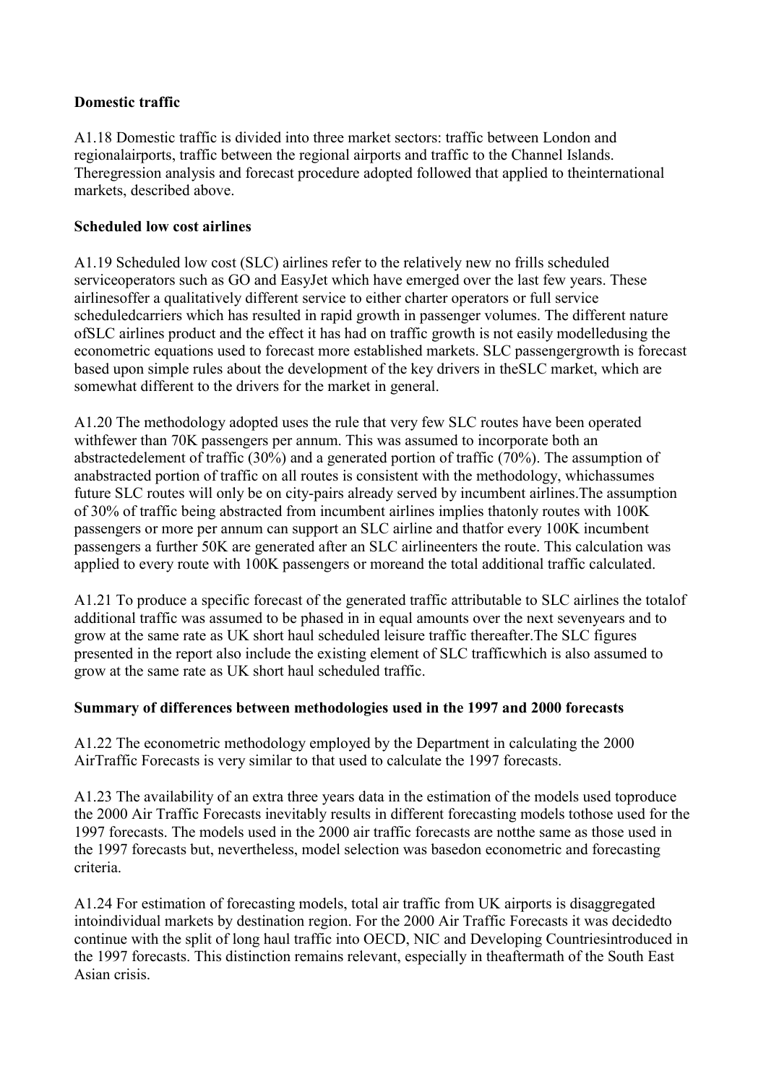#### <span id="page-23-0"></span>**Domestic traffic**

A1.18 Domestic traffic is divided into three market sectors: traffic between London and regionalairports, traffic between the regional airports and traffic to the Channel Islands. Theregression analysis and forecast procedure adopted followed that applied to theinternational markets, described above.

#### **Scheduled low cost airlines**

A1.19 Scheduled low cost (SLC) airlines refer to the relatively new no frills scheduled serviceoperators such as GO and EasyJet which have emerged over the last few years. These airlinesoffer a qualitatively different service to either charter operators or full service scheduledcarriers which has resulted in rapid growth in passenger volumes. The different nature ofSLC airlines product and the effect it has had on traffic growth is not easily modelledusing the econometric equations used to forecast more established markets. SLC passengergrowth is forecast based upon simple rules about the development of the key drivers in theSLC market, which are somewhat different to the drivers for the market in general.

A1.20 The methodology adopted uses the rule that very few SLC routes have been operated withfewer than 70K passengers per annum. This was assumed to incorporate both an abstractedelement of traffic (30%) and a generated portion of traffic (70%). The assumption of anabstracted portion of traffic on all routes is consistent with the methodology, whichassumes future SLC routes will only be on city-pairs already served by incumbent airlines.The assumption of 30% of traffic being abstracted from incumbent airlines implies thatonly routes with 100K passengers or more per annum can support an SLC airline and thatfor every 100K incumbent passengers a further 50K are generated after an SLC airlineenters the route. This calculation was applied to every route with 100K passengers or moreand the total additional traffic calculated.

A1.21 To produce a specific forecast of the generated traffic attributable to SLC airlines the totalof additional traffic was assumed to be phased in in equal amounts over the next sevenyears and to grow at the same rate as UK short haul scheduled leisure traffic thereafter.The SLC figures presented in the report also include the existing element of SLC trafficwhich is also assumed to grow at the same rate as UK short haul scheduled traffic.

#### **Summary of differences between methodologies used in the 1997 and 2000 forecasts**

A1.22 The econometric methodology employed by the Department in calculating the 2000 AirTraffic Forecasts is very similar to that used to calculate the 1997 forecasts.

A1.23 The availability of an extra three years data in the estimation of the models used toproduce the 2000 Air Traffic Forecasts inevitably results in different forecasting models tothose used for the 1997 forecasts. The models used in the 2000 air traffic forecasts are notthe same as those used in the 1997 forecasts but, nevertheless, model selection was basedon econometric and forecasting criteria.

A1.24 For estimation of forecasting models, total air traffic from UK airports is disaggregated intoindividual markets by destination region. For the 2000 Air Traffic Forecasts it was decidedto continue with the split of long haul traffic into OECD, NIC and Developing Countriesintroduced in the 1997 forecasts. This distinction remains relevant, especially in theaftermath of the South East Asian crisis.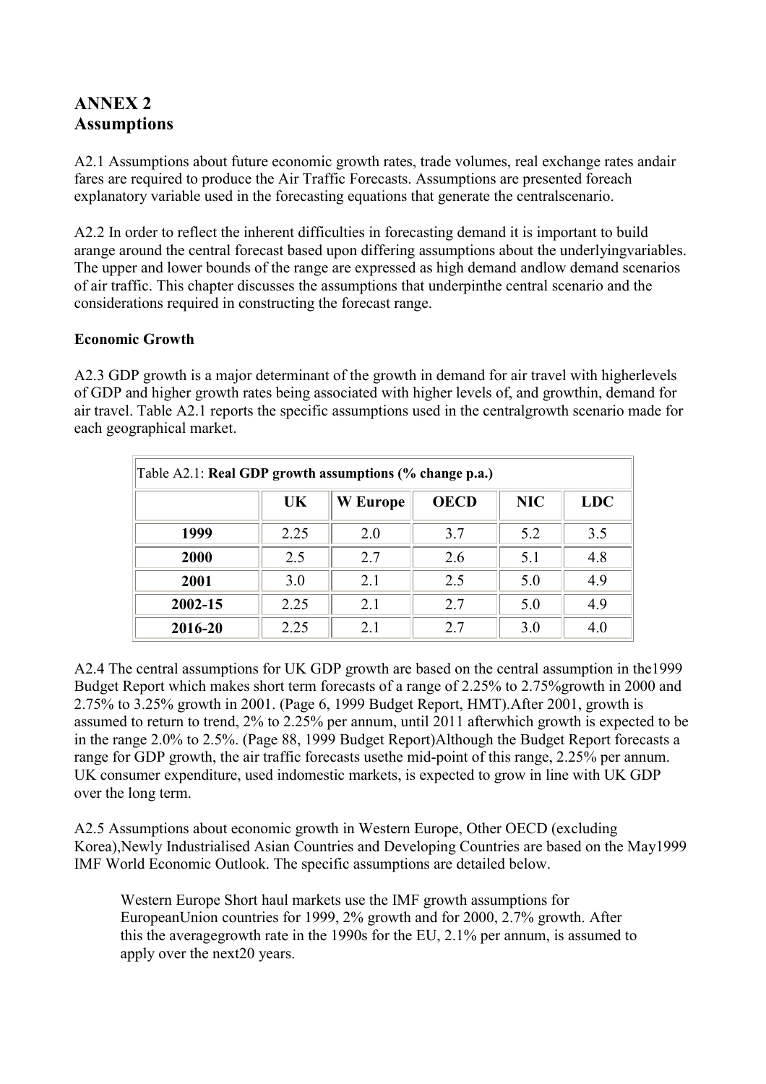## <span id="page-24-0"></span>**ANNEX 2 Assumptions**

A2.1 Assumptions about future economic growth rates, trade volumes, real exchange rates andair fares are required to produce the Air Traffic Forecasts. Assumptions are presented foreach explanatory variable used in the forecasting equations that generate the centralscenario.

A2.2 In order to reflect the inherent difficulties in forecasting demand it is important to build arange around the central forecast based upon differing assumptions about the underlyingvariables. The upper and lower bounds of the range are expressed as high demand andlow demand scenarios of air traffic. This chapter discusses the assumptions that underpinthe central scenario and the considerations required in constructing the forecast range.

#### **Economic Growth**

A2.3 GDP growth is a major determinant of the growth in demand for air travel with higherlevels of GDP and higher growth rates being associated with higher levels of, and growthin, demand for air travel. Table A2.1 reports the specific assumptions used in the centralgrowth scenario made for each geographical market.

| Table A2.1: Real GDP growth assumptions (% change p.a.) |      |                 |             |            |            |  |  |  |  |  |
|---------------------------------------------------------|------|-----------------|-------------|------------|------------|--|--|--|--|--|
|                                                         | UK   | <b>W</b> Europe | <b>OECD</b> | <b>NIC</b> | <b>LDC</b> |  |  |  |  |  |
| 1999                                                    | 2.25 | 2.0             | 3.7         | 5.2        | 3.5        |  |  |  |  |  |
| 2000                                                    | 2.5  | 2.7             | 2.6         | 5.1        | 4.8        |  |  |  |  |  |
| 2001                                                    | 3.0  | 2.1             | 2.5         | 5.0        | 4.9        |  |  |  |  |  |
| 2002-15                                                 | 2.25 | 2.1             | 2.7         | 5.0        | 4.9        |  |  |  |  |  |
| 2016-20                                                 | 2.25 | 2.1             | 2.7         | 3.0        | 4.0        |  |  |  |  |  |

A2.4 The central assumptions for UK GDP growth are based on the central assumption in the1999 Budget Report which makes short term forecasts of a range of 2.25% to 2.75%growth in 2000 and 2.75% to 3.25% growth in 2001. (Page 6, 1999 Budget Report, HMT).After 2001, growth is assumed to return to trend, 2% to 2.25% per annum, until 2011 afterwhich growth is expected to be in the range 2.0% to 2.5%. (Page 88, 1999 Budget Report)Although the Budget Report forecasts a range for GDP growth, the air traffic forecasts usethe mid-point of this range, 2.25% per annum. UK consumer expenditure, used indomestic markets, is expected to grow in line with UK GDP over the long term.

A2.5 Assumptions about economic growth in Western Europe, Other OECD (excluding Korea),Newly Industrialised Asian Countries and Developing Countries are based on the May1999 IMF World Economic Outlook. The specific assumptions are detailed below.

Western Europe Short haul markets use the IMF growth assumptions for EuropeanUnion countries for 1999, 2% growth and for 2000, 2.7% growth. After this the averagegrowth rate in the 1990s for the EU, 2.1% per annum, is assumed to apply over the next20 years.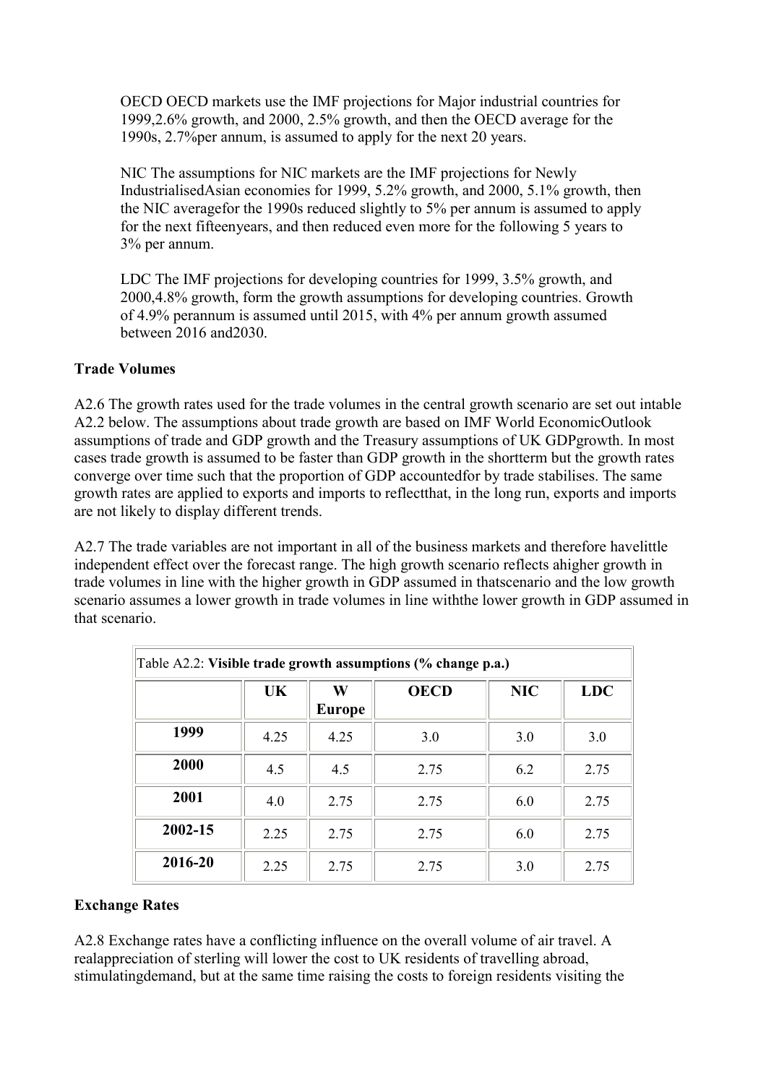<span id="page-25-0"></span>OECD OECD markets use the IMF projections for Major industrial countries for 1999,2.6% growth, and 2000, 2.5% growth, and then the OECD average for the 1990s, 2.7%per annum, is assumed to apply for the next 20 years.

NIC The assumptions for NIC markets are the IMF projections for Newly IndustrialisedAsian economies for 1999, 5.2% growth, and 2000, 5.1% growth, then the NIC averagefor the 1990s reduced slightly to 5% per annum is assumed to apply for the next fifteenyears, and then reduced even more for the following 5 years to 3% per annum.

LDC The IMF projections for developing countries for 1999, 3.5% growth, and 2000,4.8% growth, form the growth assumptions for developing countries. Growth of 4.9% perannum is assumed until 2015, with 4% per annum growth assumed between 2016 and2030.

#### **Trade Volumes**

A2.6 The growth rates used for the trade volumes in the central growth scenario are set out intable A2.2 below. The assumptions about trade growth are based on IMF World EconomicOutlook assumptions of trade and GDP growth and the Treasury assumptions of UK GDPgrowth. In most cases trade growth is assumed to be faster than GDP growth in the shortterm but the growth rates converge over time such that the proportion of GDP accountedfor by trade stabilises. The same growth rates are applied to exports and imports to reflectthat, in the long run, exports and imports are not likely to display different trends.

A2.7 The trade variables are not important in all of the business markets and therefore havelittle independent effect over the forecast range. The high growth scenario reflects ahigher growth in trade volumes in line with the higher growth in GDP assumed in thatscenario and the low growth scenario assumes a lower growth in trade volumes in line withthe lower growth in GDP assumed in that scenario.

|         | Table A2.2: Visible trade growth assumptions (% change p.a.) |                    |             |            |            |  |  |  |  |  |  |  |
|---------|--------------------------------------------------------------|--------------------|-------------|------------|------------|--|--|--|--|--|--|--|
|         | UK                                                           | W<br><b>Europe</b> | <b>OECD</b> | <b>NIC</b> | <b>LDC</b> |  |  |  |  |  |  |  |
| 1999    | 4.25                                                         | 4.25               | 3.0         | 3.0        | 3.0        |  |  |  |  |  |  |  |
| 2000    | 4.5                                                          | 4.5                | 2.75        | 6.2        | 2.75       |  |  |  |  |  |  |  |
| 2001    | 4.0                                                          | 2.75               | 2.75        | 6.0        | 2.75       |  |  |  |  |  |  |  |
| 2002-15 | 2.25                                                         | 2.75               | 2.75        | 6.0        | 2.75       |  |  |  |  |  |  |  |
| 2016-20 | 2.25                                                         | 2.75               | 2.75        | 3.0        | 2.75       |  |  |  |  |  |  |  |

#### **Exchange Rates**

A2.8 Exchange rates have a conflicting influence on the overall volume of air travel. A realappreciation of sterling will lower the cost to UK residents of travelling abroad, stimulatingdemand, but at the same time raising the costs to foreign residents visiting the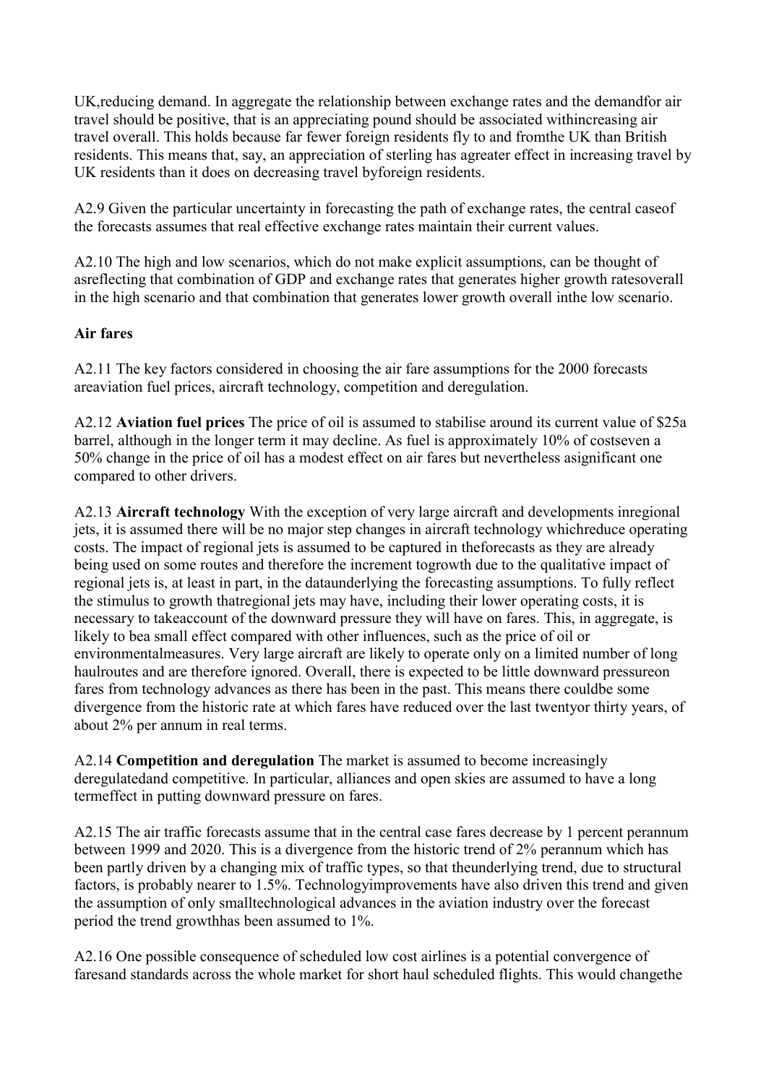<span id="page-26-0"></span>UK,reducing demand. In aggregate the relationship between exchange rates and the demandfor air travel should be positive, that is an appreciating pound should be associated withincreasing air travel overall. This holds because far fewer foreign residents fly to and fromthe UK than British residents. This means that, say, an appreciation of sterling has agreater effect in increasing travel by UK residents than it does on decreasing travel byforeign residents.

A2.9 Given the particular uncertainty in forecasting the path of exchange rates, the central caseof the forecasts assumes that real effective exchange rates maintain their current values.

A2.10 The high and low scenarios, which do not make explicit assumptions, can be thought of asreflecting that combination of GDP and exchange rates that generates higher growth ratesoverall in the high scenario and that combination that generates lower growth overall inthe low scenario.

#### **Air fares**

A2.11 The key factors considered in choosing the air fare assumptions for the 2000 forecasts areaviation fuel prices, aircraft technology, competition and deregulation.

A2.12 **Aviation fuel prices** The price of oil is assumed to stabilise around its current value of \$25a barrel, although in the longer term it may decline. As fuel is approximately 10% of costseven a 50% change in the price of oil has a modest effect on air fares but nevertheless asignificant one compared to other drivers.

A2.13 **Aircraft technology** With the exception of very large aircraft and developments inregional jets, it is assumed there will be no major step changes in aircraft technology whichreduce operating costs. The impact of regional jets is assumed to be captured in theforecasts as they are already being used on some routes and therefore the increment togrowth due to the qualitative impact of regional jets is, at least in part, in the dataunderlying the forecasting assumptions. To fully reflect the stimulus to growth thatregional jets may have, including their lower operating costs, it is necessary to takeaccount of the downward pressure they will have on fares. This, in aggregate, is likely to bea small effect compared with other influences, such as the price of oil or environmentalmeasures. Very large aircraft are likely to operate only on a limited number of long haulroutes and are therefore ignored. Overall, there is expected to be little downward pressureon fares from technology advances as there has been in the past. This means there couldbe some divergence from the historic rate at which fares have reduced over the last twentyor thirty years, of about 2% per annum in real terms.

A2.14 **Competition and deregulation** The market is assumed to become increasingly deregulatedand competitive. In particular, alliances and open skies are assumed to have a long termeffect in putting downward pressure on fares.

A2.15 The air traffic forecasts assume that in the central case fares decrease by 1 percent perannum between 1999 and 2020. This is a divergence from the historic trend of 2% perannum which has been partly driven by a changing mix of traffic types, so that theunderlying trend, due to structural factors, is probably nearer to 1.5%. Technologyimprovements have also driven this trend and given the assumption of only smalltechnological advances in the aviation industry over the forecast period the trend growthhas been assumed to 1%.

A2.16 One possible consequence of scheduled low cost airlines is a potential convergence of faresand standards across the whole market for short haul scheduled flights. This would changethe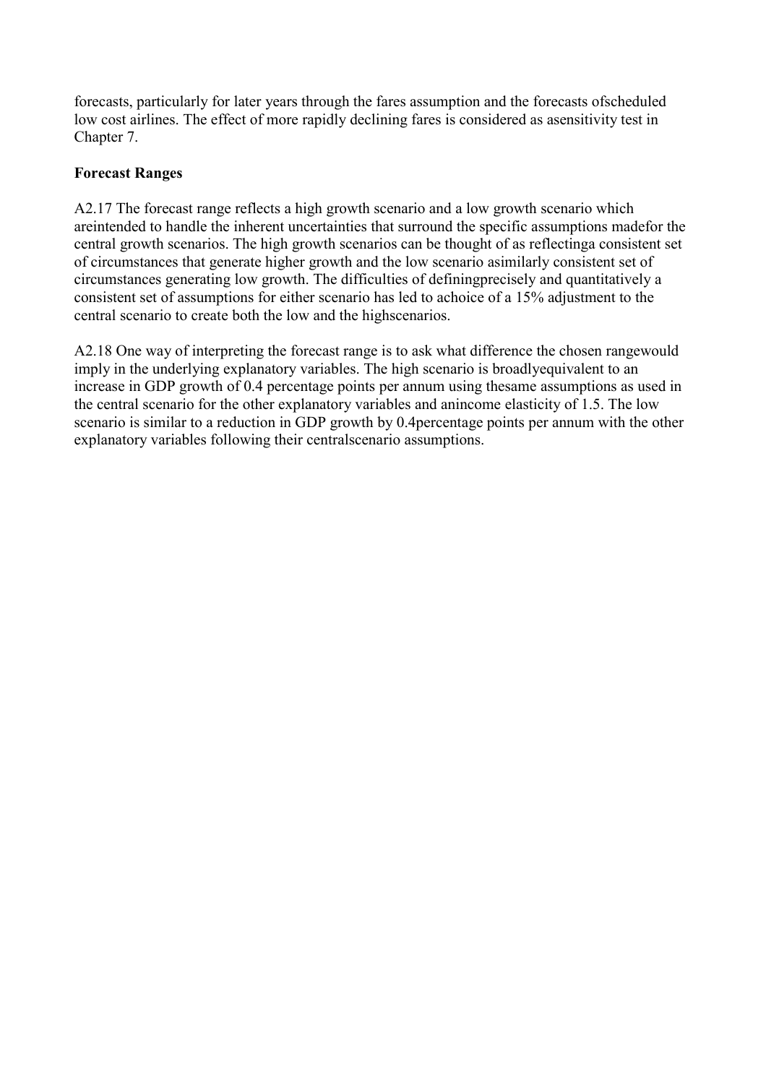<span id="page-27-0"></span>forecasts, particularly for later years through the fares assumption and the forecasts ofscheduled low cost airlines. The effect of more rapidly declining fares is considered as asensitivity test in Chapter 7.

#### **Forecast Ranges**

A2.17 The forecast range reflects a high growth scenario and a low growth scenario which areintended to handle the inherent uncertainties that surround the specific assumptions madefor the central growth scenarios. The high growth scenarios can be thought of as reflectinga consistent set of circumstances that generate higher growth and the low scenario asimilarly consistent set of circumstances generating low growth. The difficulties of definingprecisely and quantitatively a consistent set of assumptions for either scenario has led to achoice of a 15% adjustment to the central scenario to create both the low and the highscenarios.

A2.18 One way of interpreting the forecast range is to ask what difference the chosen rangewould imply in the underlying explanatory variables. The high scenario is broadlyequivalent to an increase in GDP growth of 0.4 percentage points per annum using thesame assumptions as used in the central scenario for the other explanatory variables and anincome elasticity of 1.5. The low scenario is similar to a reduction in GDP growth by 0.4percentage points per annum with the other explanatory variables following their centralscenario assumptions.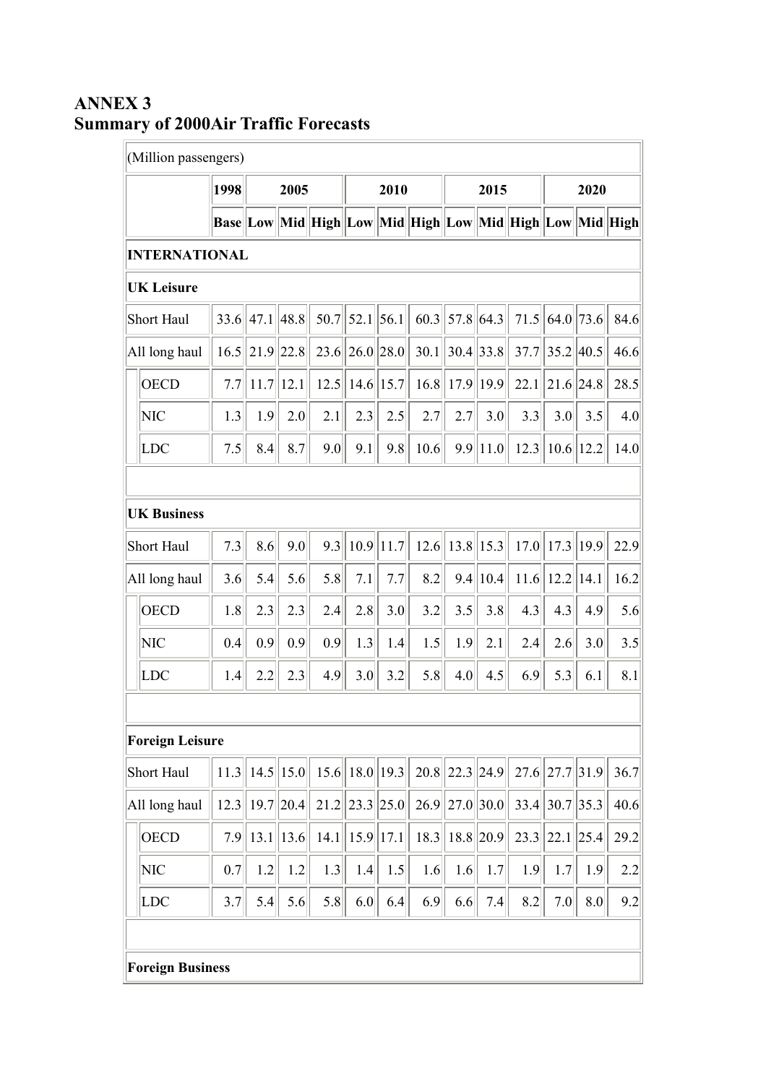# (Million passengers) **1998 2005 2010 2015 2020 Base Low Mid High Low Mid High Low Mid High Low Mid High INTERNATIONAL UK Leisure** Short Haul  $\|$  33.6 47.1 48.8 50.7 52.1 56.1 60.3 57.8 64.3 71.5 64.0 73.6 84.6 All long haul  $||16.5||21.9||22.8||23.6||26.0||28.0||30.1||30.4||33.8||37.7||35.2||40.5||46.6$  $\vert$ OECD  $\vert$  7.7 11.7 12.1 12.5 14.6 15.7 16.8 17.9 19.9 22.1 21.6 24.8 28.5 NIC  $|| 1.3 || 1.9 || 2.0 || 2.1 || 2.3 || 2.5 || 2.7 || 2.7 || 3.0 || 3.3 || 3.0 || 3.5 || 4.0$ LDC  $||7.5|| 8.4|| 8.7|| 9.0|| 9.1|| 9.8|| 10.6|| 9.9 || 11.0|| 12.3 || 10.6 || 12.2|| 14.0$ **UK Business** Short Haul 7.3 8.6 9.0 9.3 10.9 11.7 12.6 13.8 15.3 17.0 17.3 19.9 22.9 All long haul 3.6 5.4 5.6 5.8 7.1 7.7 8.2 9.4 10.4 11.6 12.2 14.1 16.2 OECD  $|| 1.8 || 2.3 || 2.3 || 2.4 || 2.8 || 3.0 || 3.2 || 3.5 || 3.8 || 4.3 || 4.3 || 4.9 || 5.6$ NIC  $||\hspace{.08cm}0.4||\hspace{.08cm}0.9||\hspace{.08cm}0.9||\hspace{.08cm}0.9||\hspace{.08cm}1.3||\hspace{.08cm}1.4||\hspace{.08cm}1.5||\hspace{.08cm}1.9||\hspace{.08cm}2.1||\hspace{.08cm}2.4||\hspace{.08cm}2.6||\hspace{.08cm}3.0||\hspace{.08cm}3.5||\hspace{.08cm}3.5||$ LDC  $||$  1.4  $||$  2.2  $||$  2.3  $||$  4.9  $||$  3.0  $||$  3.2  $||$  5.8  $||$  4.0  $||$  4.5  $||$  6.9  $||$  5.3  $||$  6.1  $||$  8.1 **Foreign Leisure** Short Haul 11.3 14.5 15.0 15.6 18.0 19.3 20.8 22.3 24.9 27.6 27.7 31.9 36.7 All long haul 12.3 19.7 20.4 21.2 23.3 25.0 26.9 27.0 30.0 33.4 30.7 35.3 40.6  $\overline{OECD}$   $\overline{7.9}$  13.1 13.6 14.1 15.9 17.1 18.3 18.8 20.9 23.3 22.1 25.4 29.2 NIC  $\parallel$  0.7 1.2 1.2 1.3 1.4 1.5 1.6 1.6 1.7 1.9 1.7 1.9 1.7 1.9 LDC 3.7 5.4 5.6 5.8 6.0 6.4 6.9 6.6 7.4 8.2 7.0 8.0 9.2 **Foreign Business**

## <span id="page-28-0"></span>**ANNEX 3 Summary of 2000Air Traffic Forecasts**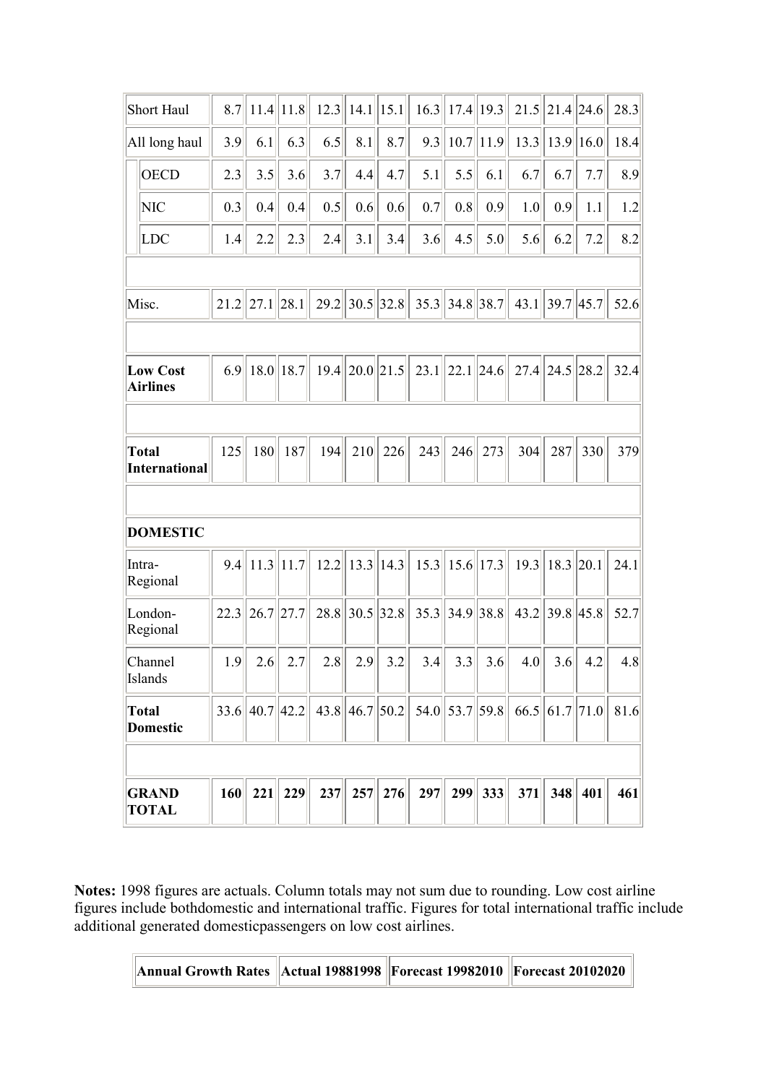| <b>GRAND</b><br><b>TOTAL</b>       | 160        | 221              | 229           | 237        | 257                 | 276           | 297                                    | 299                   | 333           | 371        | 348                   | 401              | 461        |
|------------------------------------|------------|------------------|---------------|------------|---------------------|---------------|----------------------------------------|-----------------------|---------------|------------|-----------------------|------------------|------------|
|                                    |            |                  |               |            |                     |               |                                        |                       |               |            |                       |                  |            |
| <b>Total</b><br><b>Domestic</b>    |            | 33.6  40.7  42.2 |               |            |                     |               | $43.8$   46.7  50.2   54.0  53.7  59.8 |                       |               |            |                       | 66.5  61.7  71.0 | 81.6       |
| Channel<br>Islands                 | 1.9        | 2.6              | 2.7           | 2.8        | 2.9                 | 3.2           | 3.4                                    | 3.3                   | 3.6           | 4.0        | 3.6                   | 4.2              | 4.8        |
| London-<br>Regional                | 22.3       | 26.7             | 27.7          | 28.8       | 30.5 32.8           |               |                                        | $35.3$    34.9   38.8 |               | 43.2       | $ 39.8 $ 45.8         |                  | 52.7       |
| Intra-<br>Regional                 | 9.4        |                  | $11.3$   11.7 | 12.2       |                     | $13.3$   14.3 |                                        | $15.3$    15.6   17.3 |               | 19.3       | 18.3                  | 20.1             | 24.1       |
| <b>DOMESTIC</b>                    |            |                  |               |            |                     |               |                                        |                       |               |            |                       |                  |            |
| <b>International</b>               |            |                  |               |            |                     |               |                                        |                       |               |            |                       |                  |            |
| <b>Total</b>                       | 125        | 180              | 187           | 194        | 210                 | 226           | 243                                    | 246                   | 273           | 304        | 287                   | 330              | 379        |
| <b>Low Cost</b><br><b>Airlines</b> | 6.9        |                  | $18.0$   18.7 |            | $19.4$   20.0  21.5 |               | 23.1                                   | 22.1 24.6             |               |            | $27.4$   24.5  28.2   |                  | 32.4       |
|                                    |            |                  |               |            |                     |               |                                        |                       |               |            |                       |                  |            |
| Misc.                              | 21.2       | 27.1             | 28.1          | 29.2       | 30.5 32.8           |               |                                        | $35.3$ 34.8 38.7      |               |            | $43.1$    39.7   45.7 |                  | 52.6       |
|                                    |            |                  |               |            |                     |               |                                        |                       |               |            |                       |                  |            |
| <b>NIC</b><br>LDC                  | 0.3<br>1.4 | 0.4<br>2.2       | 0.4<br>2.3    | 0.5<br>2.4 | 0.6<br>3.1          | 0.6<br>3.4    | 0.7<br>3.6                             | 0.8<br>4.5            | 0.9<br>5.0    | 1.0<br>5.6 | 0.9<br>6.2            | 1.1<br>7.2       | 1.2<br>8.2 |
| <b>OECD</b>                        | 2.3        | 3.5              | 3.6           | 3.7        | 4.4                 | 4.7           | 5.1                                    | 5.5                   | 6.1           | 6.7        | 6.7                   | 7.7              | 8.9        |
| All long haul                      | 3.9        | 6.1              | 6.3           | 6.5        | 8.1                 | 8.7           | 9.3                                    |                       | $10.7$   11.9 | 13.3       | 13.9                  | 16.0             | 18.4       |
| <b>Short Haul</b>                  | 8.7        |                  | $11.4$  11.8  | 12.3       | $14.1$   15.1       |               | 16.3                                   |                       | $17.4$   19.3 |            | $21.5$   21.4  24.6   |                  | 28.3       |

**Notes:** 1998 figures are actuals. Column totals may not sum due to rounding. Low cost airline figures include bothdomestic and international traffic. Figures for total international traffic include additional generated domesticpassengers on low cost airlines.

| Annual Growth Rates   Actual 19881998   Forecast 19982010   Forecast 20102020 |  |  |  |
|-------------------------------------------------------------------------------|--|--|--|
|-------------------------------------------------------------------------------|--|--|--|